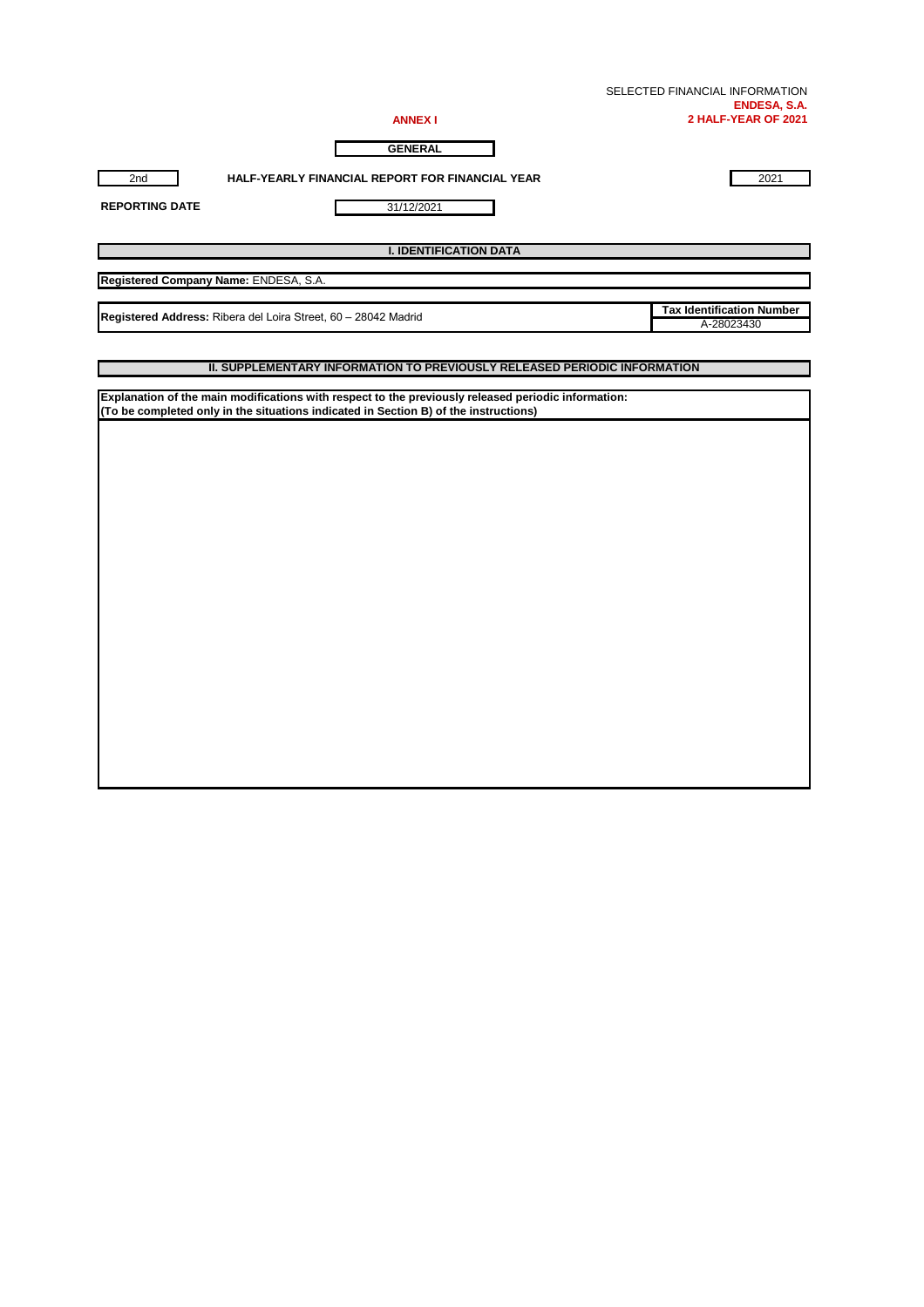| SELECTED FINANCIAL INFORMATION |
|--------------------------------|
| ENDESA, S.A.                   |
| 2 HALF-YEAR OF 2021            |

| N<br>м<br>. . |  |
|---------------|--|
|               |  |

**GENERAL**

2nd **HALF-YEARLY FINANCIAL REPORT FOR FINANCIAL YEAR** 2021

31/12/2021

**REPORTING DATE**

**I. IDENTIFICATION DATA**

**Registered Company Name:** ENDESA, S.A.

**Registered Address:** Ribera del Loira Street, 60 – 28042 Madrid<br>A-28023430

**Tax Identification Number**

#### **II. SUPPLEMENTARY INFORMATION TO PREVIOUSLY RELEASED PERIODIC INFORMATION**

**Explanation of the main modifications with respect to the previously released periodic information: (To be completed only in the situations indicated in Section B) of the instructions)**

П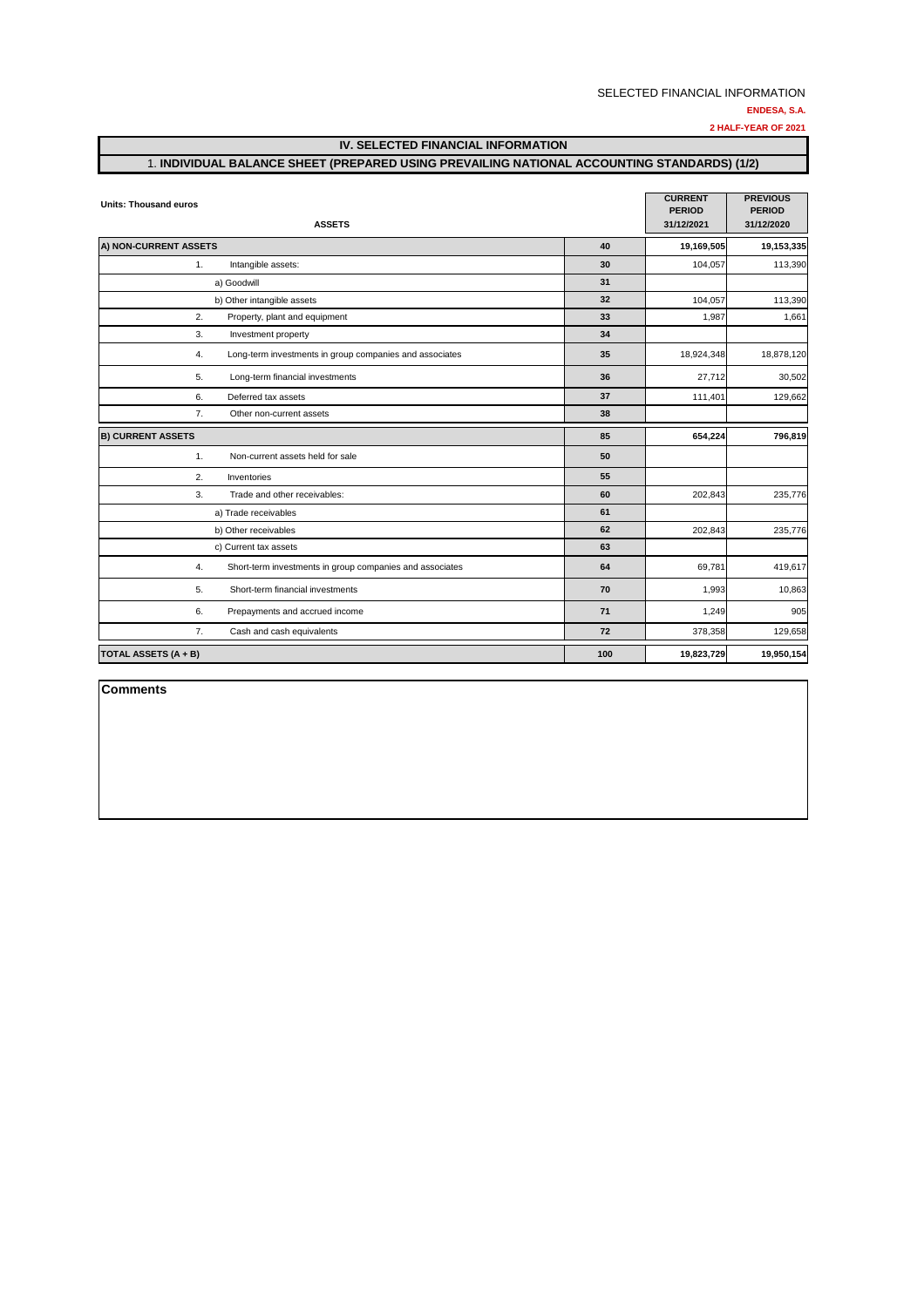**2 HALF-YEAR OF 2021**

**IV. SELECTED FINANCIAL INFORMATION**

#### 1. **INDIVIDUAL BALANCE SHEET (PREPARED USING PREVAILING NATIONAL ACCOUNTING STANDARDS) (1/2)**

| <b>Units: Thousand euros</b>                                   | <b>CURRENT</b><br><b>PERIOD</b> | <b>PREVIOUS</b><br><b>PERIOD</b> |            |
|----------------------------------------------------------------|---------------------------------|----------------------------------|------------|
| <b>ASSETS</b>                                                  | 31/12/2021                      | 31/12/2020                       |            |
| A) NON-CURRENT ASSETS                                          | 40                              | 19,169,505                       | 19,153,335 |
| 1.<br>Intangible assets:                                       | 30                              | 104,057                          | 113,390    |
| a) Goodwill                                                    | 31                              |                                  |            |
| b) Other intangible assets                                     | 32                              | 104,057                          | 113,390    |
| 2.<br>Property, plant and equipment                            | 33                              | 1,987                            | 1,661      |
| 3.<br>Investment property                                      | 34                              |                                  |            |
| Long-term investments in group companies and associates<br>4.  | 35                              | 18,924,348                       | 18,878,120 |
| 5.<br>Long-term financial investments                          | 36                              | 27,712                           | 30,502     |
| 6.<br>Deferred tax assets                                      | 37                              | 111,401                          | 129,662    |
| 7.<br>Other non-current assets                                 | 38                              |                                  |            |
| <b>B) CURRENT ASSETS</b>                                       | 85                              | 654,224                          | 796,819    |
| 1.<br>Non-current assets held for sale                         | 50                              |                                  |            |
| 2.<br>Inventories                                              | 55                              |                                  |            |
| 3.<br>Trade and other receivables:                             | 60                              | 202,843                          | 235,776    |
| a) Trade receivables                                           | 61                              |                                  |            |
| b) Other receivables                                           | 62                              | 202,843                          | 235,776    |
| c) Current tax assets                                          | 63                              |                                  |            |
| 4.<br>Short-term investments in group companies and associates | 64                              | 69,781                           | 419,617    |
| Short-term financial investments<br>5.                         | 70                              | 1,993                            | 10,863     |
| 6.<br>Prepayments and accrued income                           | 71                              | 1,249                            | 905        |
| 7.<br>Cash and cash equivalents                                | 72                              | 378,358                          | 129,658    |
| <b>TOTAL ASSETS (A + B)</b>                                    | 100                             | 19,823,729                       | 19,950,154 |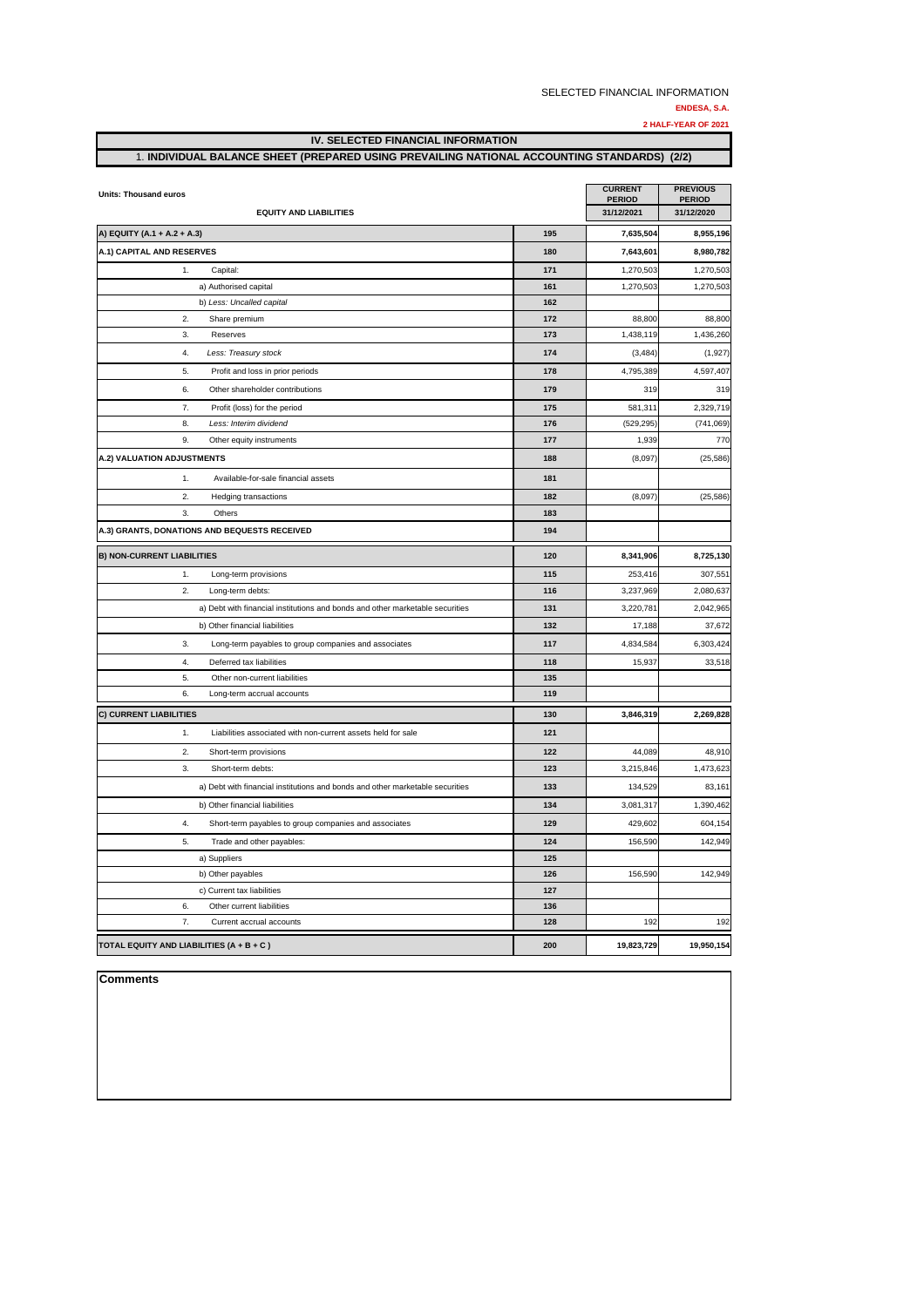#### **ENDESA, S.A.**

**2 HALF-YEAR OF 2021**

| <b>Units: Thousand euros</b>                                                  | <b>CURRENT</b><br><b>PERIOD</b> | <b>PREVIOUS</b><br><b>PERIOD</b> |            |
|-------------------------------------------------------------------------------|---------------------------------|----------------------------------|------------|
| <b>EQUITY AND LIABILITIES</b>                                                 | 31/12/2021                      | 31/12/2020                       |            |
| A) EQUITY (A.1 + A.2 + A.3)                                                   | 195                             | 7,635,504                        | 8,955,196  |
| A.1) CAPITAL AND RESERVES                                                     | 180                             | 7,643,601                        | 8,980,782  |
| 1.<br>Capital:                                                                | 171                             | 1,270,503                        | 1,270,503  |
| a) Authorised capital                                                         | 161                             | 1,270,503                        | 1,270,503  |
| b) Less: Uncalled capital                                                     | 162                             |                                  |            |
| 2.<br>Share premium                                                           | 172                             | 88,800                           | 88,800     |
| 3.<br>Reserves                                                                | 173                             | 1,438,119                        | 1,436,260  |
| Less: Treasury stock<br>4.                                                    | 174                             | (3, 484)                         | (1, 927)   |
| 5.<br>Profit and loss in prior periods                                        | 178                             | 4,795,389                        | 4,597,407  |
| 6.<br>Other shareholder contributions                                         | 179                             | 319                              | 319        |
| 7.<br>Profit (loss) for the period                                            | 175                             | 581,311                          | 2,329,719  |
| 8.<br>Less: Interim dividend                                                  | 176                             | (529, 295)                       | (741,069)  |
| 9.<br>Other equity instruments                                                | 177                             | 1,939                            | 770        |
| A.2) VALUATION ADJUSTMENTS                                                    | 188                             | (8,097)                          | (25, 586)  |
| 1.<br>Available-for-sale financial assets                                     | 181                             |                                  |            |
| 2.<br>Hedging transactions                                                    | 182                             | (8,097)                          | (25, 586)  |
| 3.<br>Others                                                                  | 183                             |                                  |            |
| A.3) GRANTS, DONATIONS AND BEQUESTS RECEIVED                                  | 194                             |                                  |            |
| <b>B) NON-CURRENT LIABILITIES</b>                                             | 120                             | 8,341,906                        | 8,725,130  |
| 1.<br>Long-term provisions                                                    | 115                             | 253,416                          | 307,551    |
| 2.<br>Long-term debts:                                                        | 116                             | 3,237,969                        | 2,080,637  |
| a) Debt with financial institutions and bonds and other marketable securities | 131                             | 3,220,781                        | 2,042,965  |
| b) Other financial liabilities                                                | 132                             | 17,188                           | 37,672     |
| 3.<br>Long-term payables to group companies and associates                    | 117                             | 4,834,584                        | 6,303,424  |
| 4.<br>Deferred tax liabilities                                                | 118                             | 15,937                           | 33,518     |
| 5.<br>Other non-current liabilities                                           | 135                             |                                  |            |
| 6.<br>Long-term accrual accounts                                              | 119                             |                                  |            |
| <b>C) CURRENT LIABILITIES</b>                                                 | 130                             | 3,846,319                        | 2,269,828  |
| 1.<br>Liabilities associated with non-current assets held for sale            | 121                             |                                  |            |
| 2.<br>Short-term provisions                                                   | 122                             | 44,089                           | 48,910     |
| 3.<br>Short-term debts:                                                       | 123                             | 3,215,846                        | 1,473,623  |
| a) Debt with financial institutions and bonds and other marketable securities | 133                             | 134,529                          | 83,161     |
| b) Other financial liabilities                                                | 134                             | 3,081,317                        | 1,390,462  |
| 4.<br>Short-term payables to group companies and associates                   | 129                             | 429,602                          | 604,154    |
| 5.<br>Trade and other payables:                                               | 124                             | 156,590                          | 142,949    |
| a) Suppliers                                                                  | 125                             |                                  |            |
| b) Other payables                                                             | 126                             | 156,590                          | 142,949    |
| c) Current tax liabilities                                                    | 127                             |                                  |            |
| 6.<br>Other current liabilities                                               | 136                             |                                  |            |
| 7.<br>Current accrual accounts                                                | 128                             | 192                              | 192        |
| TOTAL EQUITY AND LIABILITIES (A + B + C)                                      | 200                             | 19,823,729                       | 19,950,154 |

# **IV. SELECTED FINANCIAL INFORMATION** 1. **INDIVIDUAL BALANCE SHEET (PREPARED USING PREVAILING NATIONAL ACCOUNTING STANDARDS) (2/2)**

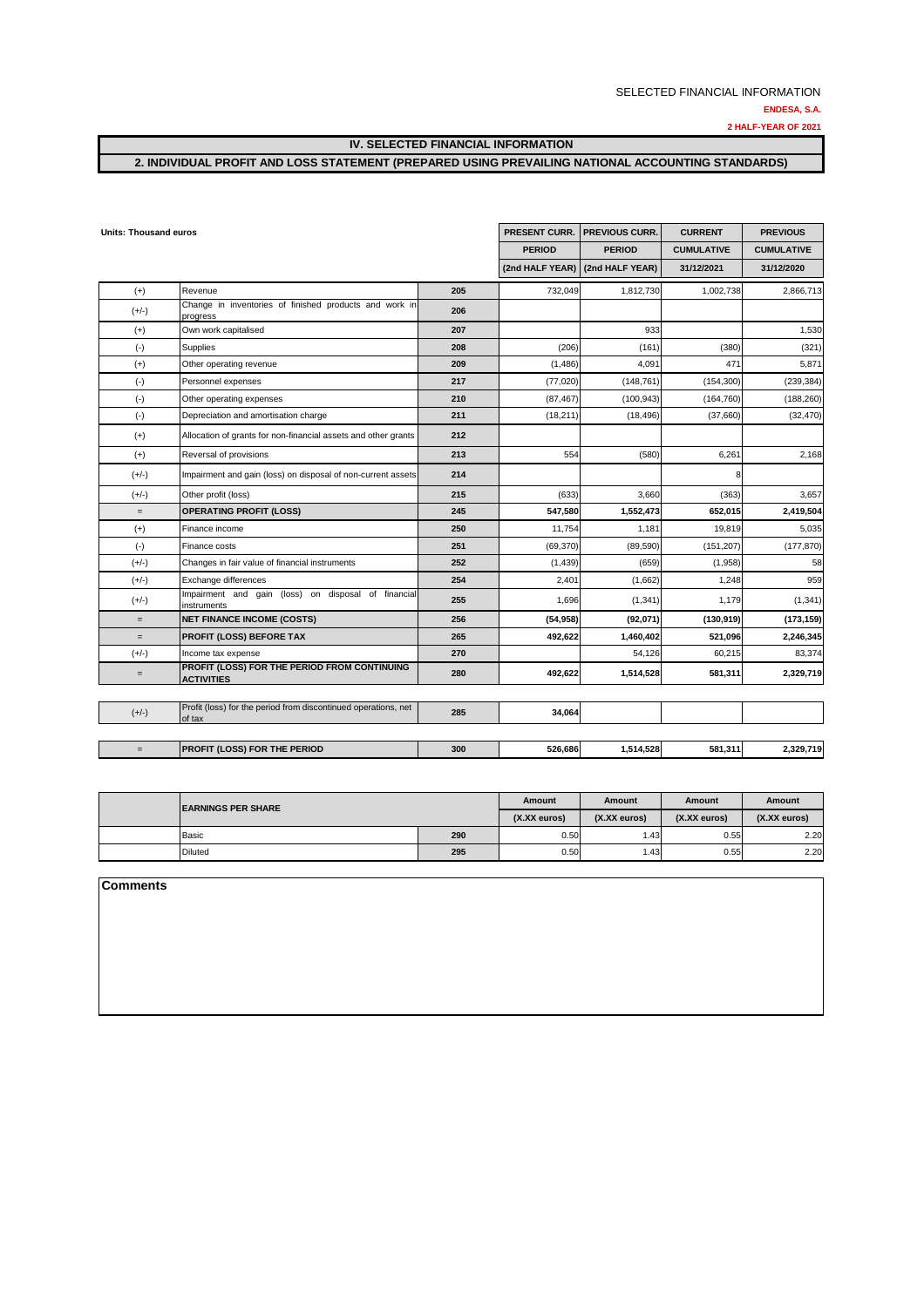**2 HALF-YEAR OF 2021**

**IV. SELECTED FINANCIAL INFORMATION**

## **2. INDIVIDUAL PROFIT AND LOSS STATEMENT (PREPARED USING PREVAILING NATIONAL ACCOUNTING STANDARDS)**

| Units: Thousand euros |                                                                          | PRESENT CURR. | <b>PREVIOUS CURR.</b> | <b>CURRENT</b>                  | <b>PREVIOUS</b>   |                   |
|-----------------------|--------------------------------------------------------------------------|---------------|-----------------------|---------------------------------|-------------------|-------------------|
|                       |                                                                          |               | <b>PERIOD</b>         | <b>PERIOD</b>                   | <b>CUMULATIVE</b> | <b>CUMULATIVE</b> |
|                       |                                                                          |               |                       | (2nd HALF YEAR) (2nd HALF YEAR) | 31/12/2021        | 31/12/2020        |
| $(+)$                 | Revenue                                                                  | 205           | 732,049               | 1,812,730                       | 1,002,738         | 2,866,713         |
| $(+/-)$               | Change in inventories of finished products and work in<br>progress       | 206           |                       |                                 |                   |                   |
| $(+)$                 | Own work capitalised                                                     | 207           |                       | 933                             |                   | 1,530             |
| $(\cdot)$             | <b>Supplies</b>                                                          | 208           | (206)                 | (161)                           | (380)             | (321)             |
| $(+)$                 | Other operating revenue                                                  | 209           | (1,486)               | 4,091                           | 471               | 5,871             |
| $(\text{-})$          | Personnel expenses                                                       | 217           | (77, 020)             | (148, 761)                      | (154, 300)        | (239, 384)        |
| $(\text{-})$          | Other operating expenses                                                 | 210           | (87, 467)             | (100, 943)                      | (164, 760)        | (188, 260)        |
| $(-)$                 | Depreciation and amortisation charge                                     | 211           | (18, 211)             | (18, 496)                       | (37,660)          | (32, 470)         |
| $(+)$                 | Allocation of grants for non-financial assets and other grants           | 212           |                       |                                 |                   |                   |
| $(+)$                 | Reversal of provisions                                                   | 213           | 554                   | (580)                           | 6,261             | 2,168             |
| $(+/-)$               | Impairment and gain (loss) on disposal of non-current assets             | 214           |                       |                                 |                   |                   |
| $(+/-)$               | Other profit (loss)                                                      | 215           | (633)                 | 3,660                           | (363)             | 3,657             |
| $=$                   | <b>OPERATING PROFIT (LOSS)</b>                                           | 245           | 547,580               | 1,552,473                       | 652,015           | 2,419,504         |
| $(+)$                 | Finance income                                                           | 250           | 11,754                | 1,181                           | 19,819            | 5,035             |
| $(\cdot)$             | Finance costs                                                            | 251           | (69, 370)             | (89, 590)                       | (151, 207)        | (177, 870)        |
| $(+/-)$               | Changes in fair value of financial instruments                           | 252           | (1,439)               | (659)                           | (1,958)           | 58                |
| $(+/-)$               | Exchange differences                                                     | 254           | 2,401                 | (1,662)                         | 1,248             | 959               |
| $(+/-)$               | Impairment and gain (loss) on disposal of financial<br>instruments       | 255           | 1,696                 | (1, 341)                        | 1,179             | (1, 341)          |
| $=$                   | <b>NET FINANCE INCOME (COSTS)</b>                                        | 256           | (54, 958)             | (92,071)                        | (130, 919)        | (173, 159)        |
| $=$                   | PROFIT (LOSS) BEFORE TAX                                                 | 265           | 492,622               | 1,460,402                       | 521,096           | 2,246,345         |
| $(+/-)$               | Income tax expense                                                       | 270           |                       | 54,126                          | 60,215            | 83,374            |
| $=$                   | PROFIT (LOSS) FOR THE PERIOD FROM CONTINUING<br><b>ACTIVITIES</b>        | 280           | 492,622               | 1,514,528                       | 581,311           | 2,329,719         |
|                       |                                                                          |               |                       |                                 |                   |                   |
| $(+/-)$               | Profit (loss) for the period from discontinued operations, net<br>of tax | 285           | 34,064                |                                 |                   |                   |
| $=$                   | PROFIT (LOSS) FOR THE PERIOD                                             | 300           | 526,686               | 1,514,528                       | 581,311           | 2,329,719         |

| <b>IEARNINGS PER SHARE</b> |              | Amount          | Amount          | <b>Amount</b>   | Amount |
|----------------------------|--------------|-----------------|-----------------|-----------------|--------|
|                            | (X.XX euros) | $(X.XX)$ euros) | $(X,XX)$ euros) | $(X.XX)$ euros) |        |
| Basic                      | 290          | 0.50            | .43             | 0.55            | 2.20   |
| <b>Diluted</b>             | 295          | 0.50            | .43             | 0.55            | 2.20   |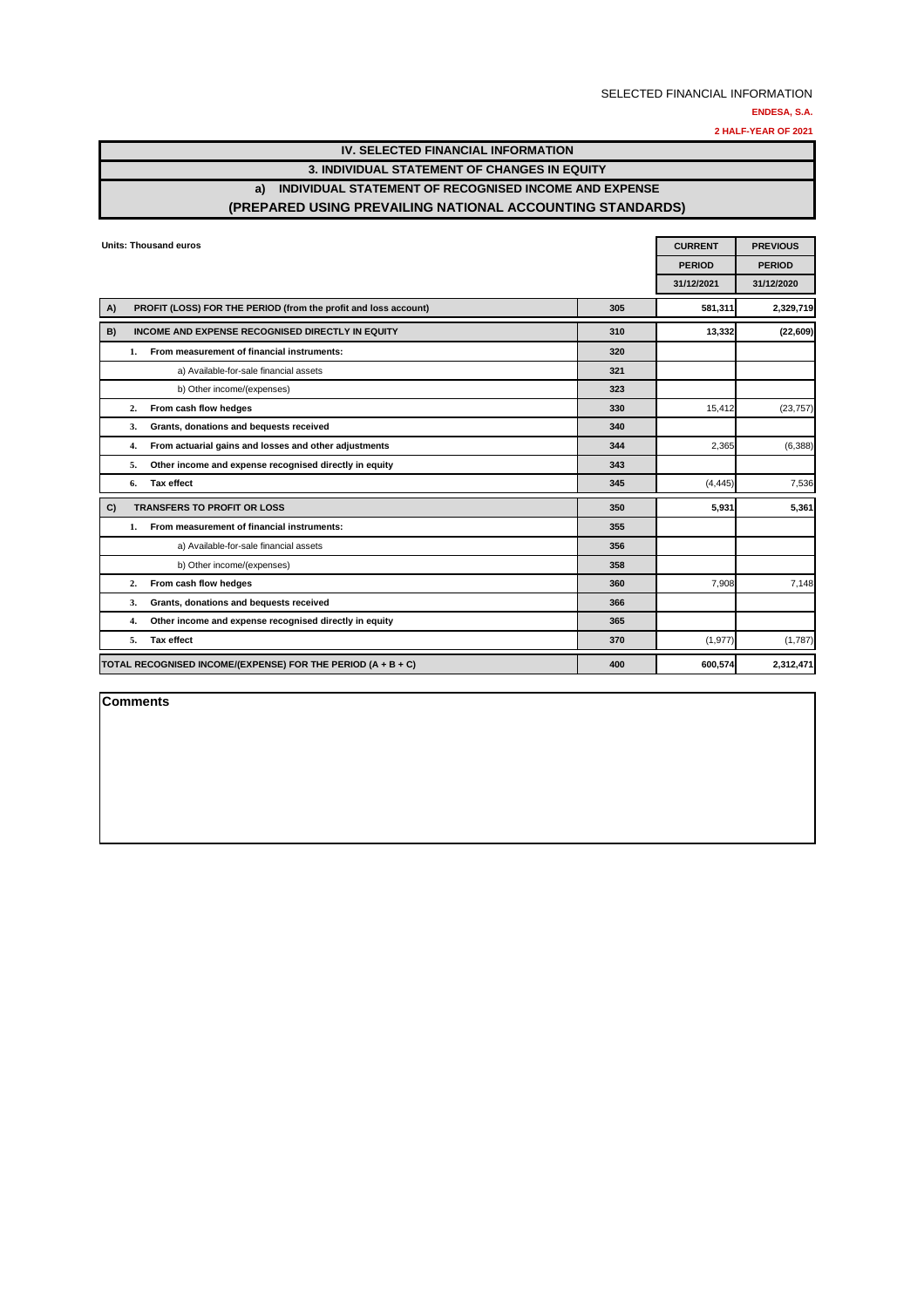**2 HALF-YEAR OF 2021**

## **IV. SELECTED FINANCIAL INFORMATION 3. INDIVIDUAL STATEMENT OF CHANGES IN EQUITY a) INDIVIDUAL STATEMENT OF RECOGNISED INCOME AND EXPENSE (PREPARED USING PREVAILING NATIONAL ACCOUNTING STANDARDS)**

|    |    | <b>Units: Thousand euros</b>                                    | <b>CURRENT</b> | <b>PREVIOUS</b> |               |
|----|----|-----------------------------------------------------------------|----------------|-----------------|---------------|
|    |    |                                                                 |                | <b>PERIOD</b>   | <b>PERIOD</b> |
|    |    |                                                                 |                | 31/12/2021      | 31/12/2020    |
| A) |    | PROFIT (LOSS) FOR THE PERIOD (from the profit and loss account) | 305            | 581,311         | 2,329,719     |
| B) |    | INCOME AND EXPENSE RECOGNISED DIRECTLY IN EQUITY                | 310            | 13,332          | (22, 609)     |
|    | 1. | From measurement of financial instruments:                      | 320            |                 |               |
|    |    | a) Available-for-sale financial assets                          | 321            |                 |               |
|    |    | b) Other income/(expenses)                                      | 323            |                 |               |
|    | 2. | From cash flow hedges                                           | 330            | 15.412          | (23, 757)     |
|    | 3. | Grants, donations and bequests received                         | 340            |                 |               |
|    | 4. | From actuarial gains and losses and other adjustments           | 344            | 2,365           | (6,388)       |
|    | 5. | Other income and expense recognised directly in equity          | 343            |                 |               |
|    | 6. | Tax effect                                                      | 345            | (4, 445)        | 7,536         |
| C) |    | <b>TRANSFERS TO PROFIT OR LOSS</b>                              | 350            | 5,931           | 5,361         |
|    | 1. | From measurement of financial instruments:                      | 355            |                 |               |
|    |    | a) Available-for-sale financial assets                          | 356            |                 |               |
|    |    | b) Other income/(expenses)                                      | 358            |                 |               |
|    | 2. | From cash flow hedges                                           | 360            | 7,908           | 7,148         |
|    | 3. | Grants, donations and bequests received                         | 366            |                 |               |
|    | 4. | Other income and expense recognised directly in equity          | 365            |                 |               |
|    | 5. | <b>Tax effect</b>                                               | 370            | (1, 977)        | (1,787)       |
|    |    | TOTAL RECOGNISED INCOME/(EXPENSE) FOR THE PERIOD (A + B + C)    | 400            | 600,574         | 2,312,471     |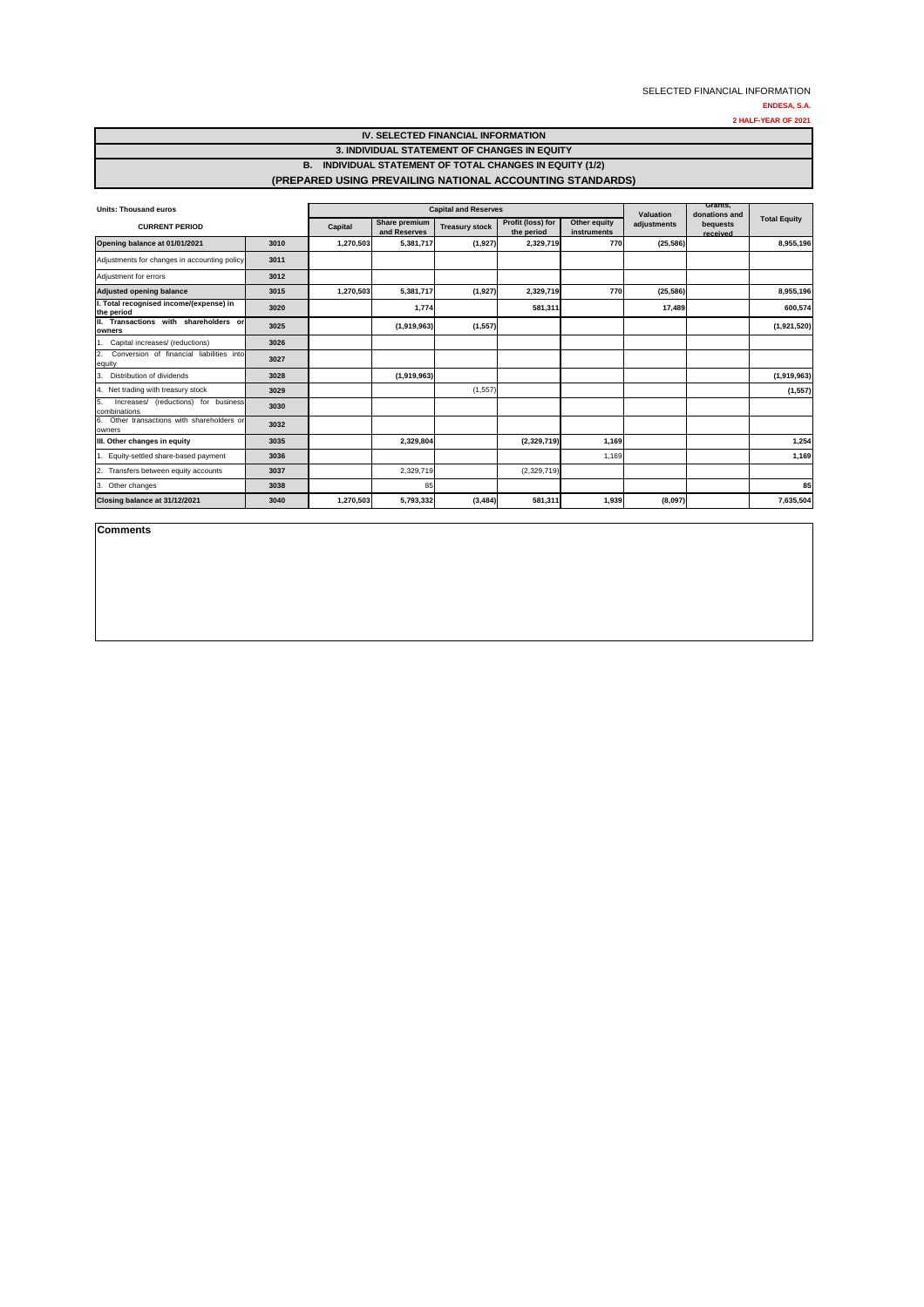**ENDESA, S.A.**

**2 HALF-YEAR OF 2021**

| <b>Units: Thousand euros</b>                               | <b>Capital and Reserves</b> |           |                               |                       |                                 | Valuation                   | Grants,<br>donations and |                      |                     |
|------------------------------------------------------------|-----------------------------|-----------|-------------------------------|-----------------------|---------------------------------|-----------------------------|--------------------------|----------------------|---------------------|
| <b>CURRENT PERIOD</b>                                      |                             | Capital   | Share premium<br>and Reserves | <b>Treasury stock</b> | Profit (loss) for<br>the period | Other equity<br>instruments | adjustments              | bequests<br>received | <b>Total Equity</b> |
| Opening balance at 01/01/2021                              | 3010                        | 1,270,503 | 5,381,717                     | (1,927)               | 2,329,719                       | 770                         | (25, 586)                |                      | 8,955,196           |
| Adjustments for changes in accounting policy               | 3011                        |           |                               |                       |                                 |                             |                          |                      |                     |
| Adjustment for errors                                      | 3012                        |           |                               |                       |                                 |                             |                          |                      |                     |
| <b>Adjusted opening balance</b>                            | 3015                        | 1,270,503 | 5,381,717                     | (1, 927)              | 2,329,719                       | 770                         | (25, 586)                |                      | 8,955,196           |
| I. Total recognised income/(expense) in<br>the period      | 3020                        |           | 1,774                         |                       | 581,311                         |                             | 17,489                   |                      | 600,574             |
| Transactions with shareholders or<br>Ш.<br>owners          | 3025                        |           | (1,919,963)                   | (1, 557)              |                                 |                             |                          |                      | (1,921,520)         |
| Capital increases/ (reductions)                            | 3026                        |           |                               |                       |                                 |                             |                          |                      |                     |
| Conversion of financial liabilities into<br>2.<br>equity   | 3027                        |           |                               |                       |                                 |                             |                          |                      |                     |
| Distribution of dividends<br>3.                            | 3028                        |           | (1,919,963)                   |                       |                                 |                             |                          |                      | (1,919,963)         |
| Net trading with treasury stock<br>4.                      | 3029                        |           |                               | (1, 557)              |                                 |                             |                          |                      | (1, 557)            |
| 5.<br>Increases/ (reductions) for business<br>combinations | 3030                        |           |                               |                       |                                 |                             |                          |                      |                     |
| Other transactions with shareholders or<br>6.<br>owners    | 3032                        |           |                               |                       |                                 |                             |                          |                      |                     |
| III. Other changes in equity                               | 3035                        |           | 2,329,804                     |                       | (2,329,719)                     | 1,169                       |                          |                      | 1,254               |
| Equity-settled share-based payment                         | 3036                        |           |                               |                       |                                 | 1,169                       |                          |                      | 1,169               |
| Transfers between equity accounts<br>$\overline{2}$        | 3037                        |           | 2,329,719                     |                       | (2,329,719)                     |                             |                          |                      |                     |
| 3.<br>Other changes                                        | 3038                        |           | 85                            |                       |                                 |                             |                          |                      | 85                  |
| Closing balance at 31/12/2021                              | 3040                        | 1,270,503 | 5,793,332                     | (3, 484)              | 581,311                         | 1,939                       | (8,097)                  |                      | 7,635,504           |

**Comments**

## **IV. SELECTED FINANCIAL INFORMATION**

#### **3. INDIVIDUAL STATEMENT OF CHANGES IN EQUITY**

### **B. INDIVIDUAL STATEMENT OF TOTAL CHANGES IN EQUITY (1/2) (PREPARED USING PREVAILING NATIONAL ACCOUNTING STANDARDS)**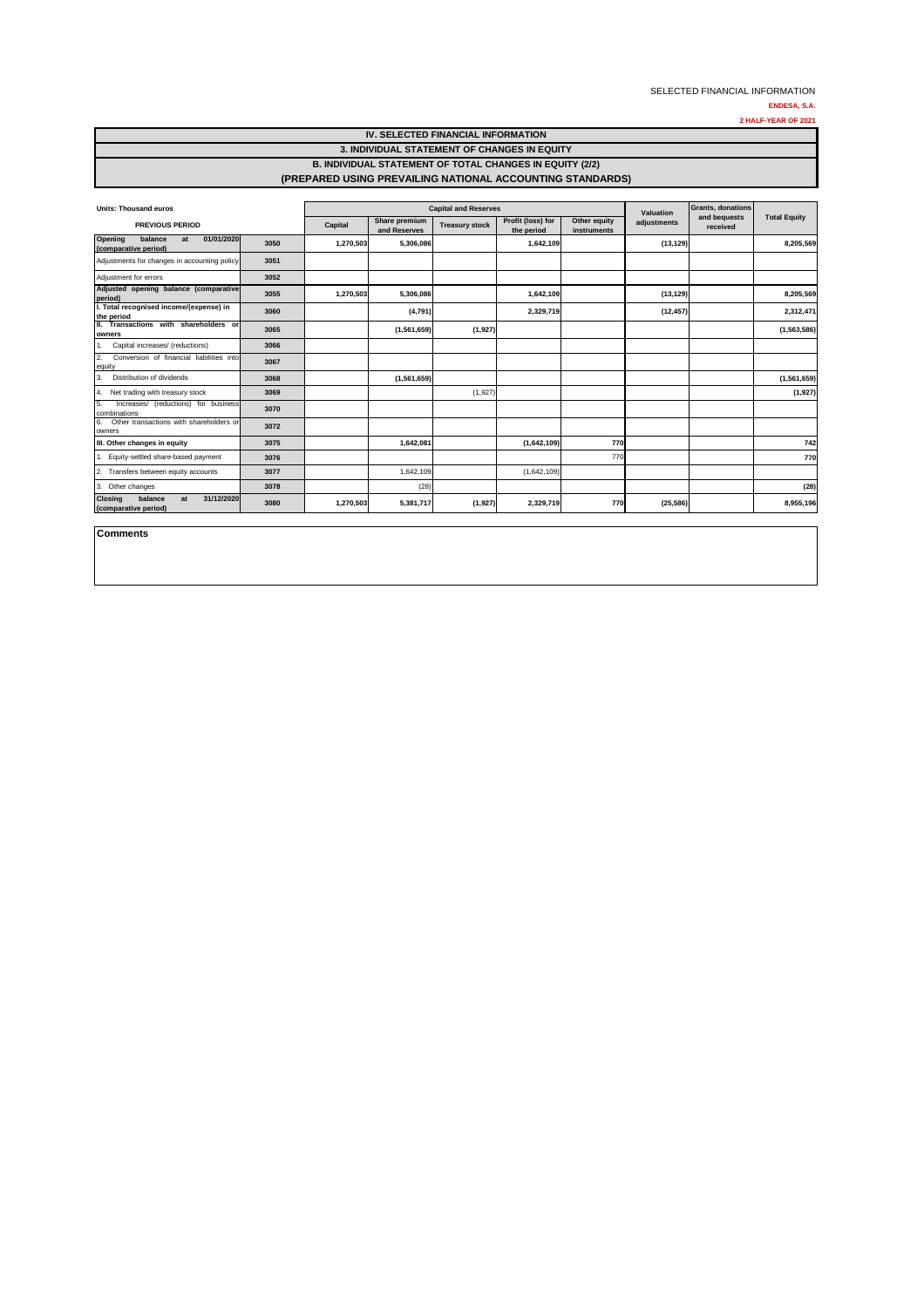**ENDESA, S.A.**

**2 HALF-YEAR OF 2021**

| <b>Units: Thousand euros</b>                                          | <b>Capital and Reserves</b> |           |                               |                       |                                 | Valuation                   | Grants, donations |                          |                     |
|-----------------------------------------------------------------------|-----------------------------|-----------|-------------------------------|-----------------------|---------------------------------|-----------------------------|-------------------|--------------------------|---------------------|
| <b>PREVIOUS PERIOD</b>                                                |                             | Capital   | Share premium<br>and Reserves | <b>Treasury stock</b> | Profit (loss) for<br>the period | Other equity<br>instruments | adjustments       | and bequests<br>received | <b>Total Equity</b> |
| 01/01/2020<br>Opening<br>balance<br>at<br>(comparative period)        | 3050                        | 1,270,503 | 5,306,086                     |                       | 1,642,109                       |                             | (13, 129)         |                          | 8,205,569           |
| Adjustments for changes in accounting policy                          | 3051                        |           |                               |                       |                                 |                             |                   |                          |                     |
| Adjustment for errors                                                 | 3052                        |           |                               |                       |                                 |                             |                   |                          |                     |
| Adjusted opening balance (comparative<br>period)                      | 3055                        | 1,270,503 | 5,306,086                     |                       | 1,642,109                       |                             | (13, 129)         |                          | 8,205,569           |
| I. Total recognised income/(expense) in<br>the period                 | 3060                        |           | (4,791)                       |                       | 2,329,719                       |                             | (12, 457)         |                          | 2,312,471           |
| II. Transactions with shareholders or<br>owners                       | 3065                        |           | (1,561,659)                   | (1, 927)              |                                 |                             |                   |                          | (1,563,586)         |
| Capital increases/ (reductions)                                       | 3066                        |           |                               |                       |                                 |                             |                   |                          |                     |
| 2.<br>Conversion of financial liabilities into<br>equity              | 3067                        |           |                               |                       |                                 |                             |                   |                          |                     |
| Distribution of dividends<br>3.                                       | 3068                        |           | (1,561,659)                   |                       |                                 |                             |                   |                          | (1,561,659)         |
| Net trading with treasury stock<br>4.                                 | 3069                        |           |                               | (1,927)               |                                 |                             |                   |                          | (1,927)             |
| 5.<br>Increases/ (reductions) for business<br>combinations            | 3070                        |           |                               |                       |                                 |                             |                   |                          |                     |
| 6.<br>Other transactions with shareholders or<br>owners               | 3072                        |           |                               |                       |                                 |                             |                   |                          |                     |
| III. Other changes in equity                                          | 3075                        |           | 1,642,081                     |                       | (1,642,109)                     | 770                         |                   |                          | 742                 |
| Equity-settled share-based payment                                    | 3076                        |           |                               |                       |                                 | 770                         |                   |                          | 770                 |
| Transfers between equity accounts<br>2.                               | 3077                        |           | 1,642,109                     |                       | (1,642,109)                     |                             |                   |                          |                     |
| 3. Other changes                                                      | 3078                        |           | (28)                          |                       |                                 |                             |                   |                          | (28)                |
| 31/12/2020<br><b>Closing</b><br>balance<br>at<br>(comparative period) | 3080                        | 1,270,503 | 5,381,717                     | (1, 927)              | 2,329,719                       | 770                         | (25, 586)         |                          | 8,955,196           |

**Comments**

#### **IV. SELECTED FINANCIAL INFORMATION**

## **3. INDIVIDUAL STATEMENT OF CHANGES IN EQUITY**

## **B. INDIVIDUAL STATEMENT OF TOTAL CHANGES IN EQUITY (2/2) (PREPARED USING PREVAILING NATIONAL ACCOUNTING STANDARDS)**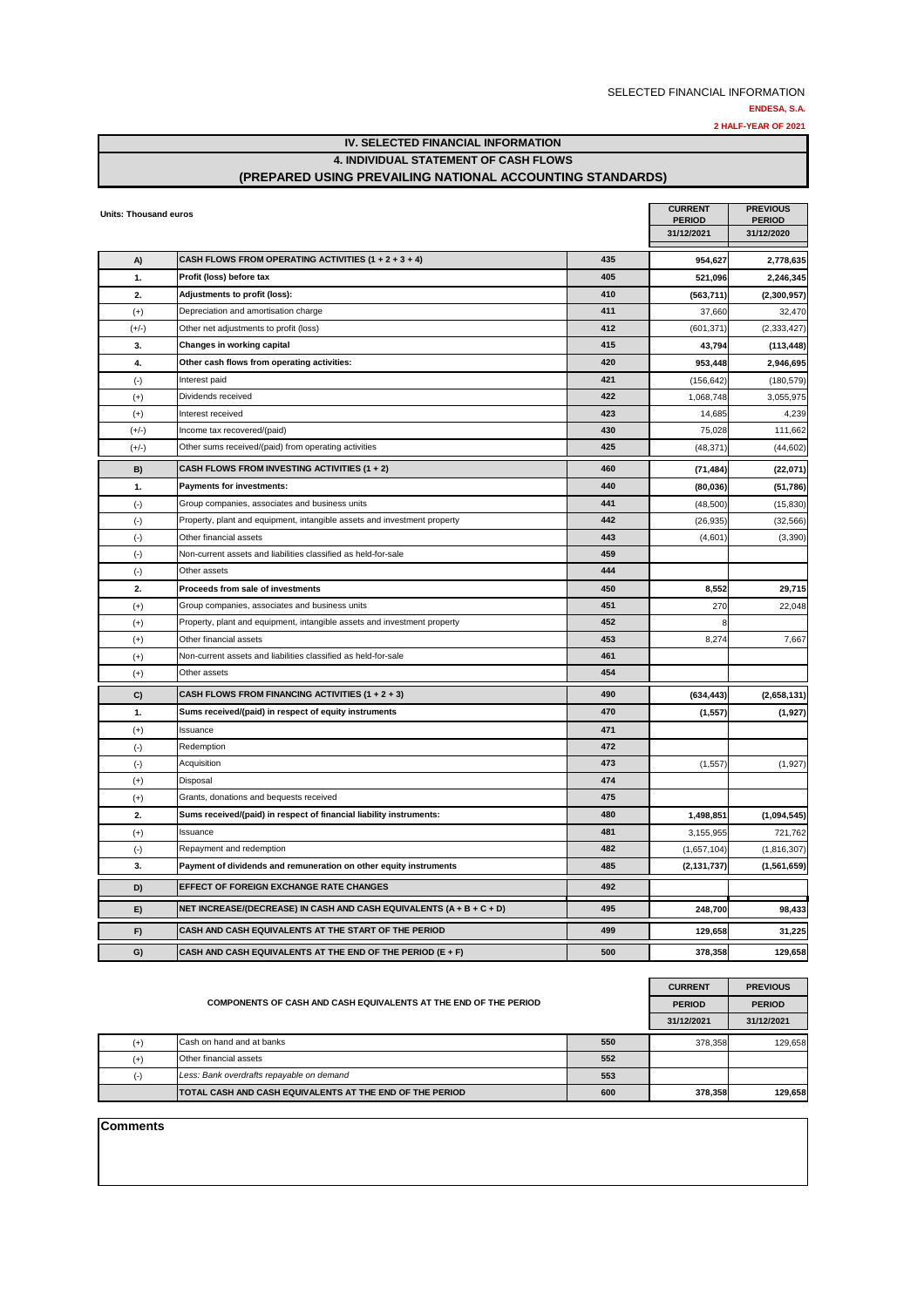**2 HALF-YEAR OF 2021**

**IV. SELECTED FINANCIAL INFORMATION 4. INDIVIDUAL STATEMENT OF CASH FLOWS**

## **(PREPARED USING PREVAILING NATIONAL ACCOUNTING STANDARDS)**

| Units: Thousand euros |                                                                          |     | <b>CURRENT</b>              | <b>PREVIOUS</b>             |
|-----------------------|--------------------------------------------------------------------------|-----|-----------------------------|-----------------------------|
|                       |                                                                          |     | <b>PERIOD</b><br>31/12/2021 | <b>PERIOD</b><br>31/12/2020 |
|                       |                                                                          |     |                             |                             |
| A)                    | CASH FLOWS FROM OPERATING ACTIVITIES $(1 + 2 + 3 + 4)$                   | 435 | 954,627                     | 2,778,635                   |
| 1.                    | Profit (loss) before tax                                                 | 405 | 521,096                     | 2,246,345                   |
| 2.                    | Adjustments to profit (loss):                                            | 410 | (563, 711)                  | (2,300,957)                 |
| $(+)$                 | Depreciation and amortisation charge                                     | 411 | 37,660                      | 32,470                      |
| $(+/-)$               | Other net adjustments to profit (loss)                                   | 412 | (601, 371)                  | (2,333,427)                 |
| 3.                    | Changes in working capital                                               | 415 | 43,794                      | (113, 448)                  |
| 4.                    | Other cash flows from operating activities:                              | 420 | 953,448                     | 2,946,695                   |
| $(\cdot)$             | Interest paid                                                            | 421 | (156, 642)                  | (180, 579)                  |
| $(+)$                 | Dividends received                                                       | 422 | 1,068,748                   | 3,055,975                   |
| $(+)$                 | Interest received                                                        | 423 | 14,685                      | 4,239                       |
| $(+/-)$               | Income tax recovered/(paid)                                              | 430 | 75,028                      | 111,662                     |
| $(+/-)$               | Other sums received/(paid) from operating activities                     | 425 | (48, 371)                   | (44, 602)                   |
| B)                    | CASH FLOWS FROM INVESTING ACTIVITIES (1 + 2)                             | 460 | (71, 484)                   | (22,071)                    |
| 1.                    | <b>Payments for investments:</b>                                         | 440 | (80, 036)                   | (51, 786)                   |
| $(\cdot)$             | Group companies, associates and business units                           | 441 | (48,500)                    | (15, 830)                   |
| $(\cdot)$             | Property, plant and equipment, intangible assets and investment property | 442 | (26, 935)                   | (32, 566)                   |
| $(\cdot)$             | Other financial assets                                                   | 443 | (4,601)                     | (3,390)                     |
| $(\cdot)$             | Non-current assets and liabilities classified as held-for-sale           | 459 |                             |                             |
| $(\cdot)$             | Other assets                                                             | 444 |                             |                             |
| 2.                    | Proceeds from sale of investments                                        | 450 | 8,552                       | 29,715                      |
| $(+)$                 | Group companies, associates and business units                           | 451 | 270                         | 22,048                      |
| $(+)$                 | Property, plant and equipment, intangible assets and investment property | 452 |                             |                             |
| $(+)$                 | Other financial assets                                                   | 453 | 8,274                       | 7,667                       |
| $(+)$                 | Non-current assets and liabilities classified as held-for-sale           | 461 |                             |                             |
| $(+)$                 | Other assets                                                             | 454 |                             |                             |
| C)                    | CASH FLOWS FROM FINANCING ACTIVITIES $(1 + 2 + 3)$                       | 490 | (634, 443)                  | (2,658,131)                 |
| 1.                    | Sums received/(paid) in respect of equity instruments                    | 470 | (1, 557)                    | (1,927)                     |
| $(+)$                 | Issuance                                                                 | 471 |                             |                             |
| $(\cdot)$             | Redemption                                                               | 472 |                             |                             |
| $(\cdot)$             | Acquisition                                                              | 473 | (1, 557)                    | (1,927)                     |
| $(+)$                 | Disposal                                                                 | 474 |                             |                             |
| $(+)$                 | Grants, donations and bequests received                                  | 475 |                             |                             |
| 2.                    | Sums received/(paid) in respect of financial liability instruments:      | 480 | 1,498,851                   | (1,094,545)                 |
| $(+)$                 | Issuance                                                                 | 481 | 3,155,955                   | 721,762                     |
| $(\cdot)$             | Repayment and redemption                                                 | 482 | (1,657,104)                 | (1,816,307)                 |
| 3.                    | Payment of dividends and remuneration on other equity instruments        | 485 | (2, 131, 737)               | (1,561,659)                 |
| D)                    | <b>EFFECT OF FOREIGN EXCHANGE RATE CHANGES</b>                           | 492 |                             |                             |
| E)                    | NET INCREASE/(DECREASE) IN CASH AND CASH EQUIVALENTS (A + B + C + D)     | 495 | 248,700                     | 98,433                      |
| F)                    | CASH AND CASH EQUIVALENTS AT THE START OF THE PERIOD                     | 499 | 129,658                     | 31,225                      |
| G)                    | CASH AND CASH EQUIVALENTS AT THE END OF THE PERIOD (E + F)               | 500 | 378,358                     | 129,658                     |

|       | <b>CURRENT</b>                                                  | <b>PREVIOUS</b> |            |            |
|-------|-----------------------------------------------------------------|-----------------|------------|------------|
|       | <b>PERIOD</b>                                                   | <b>PERIOD</b>   |            |            |
|       |                                                                 |                 | 31/12/2021 | 31/12/2021 |
| $(+)$ | Cash on hand and at banks                                       | 550             | 378.358    | 129.658    |
| $(+)$ | Other financial assets                                          | 552             |            |            |
|       | Less: Bank overdrafts repayable on demand                       | 553             |            |            |
|       | <b>TOTAL CASH AND CASH EQUIVALENTS AT THE END OF THE PERIOD</b> | 600             | 378.358    | 129,658    |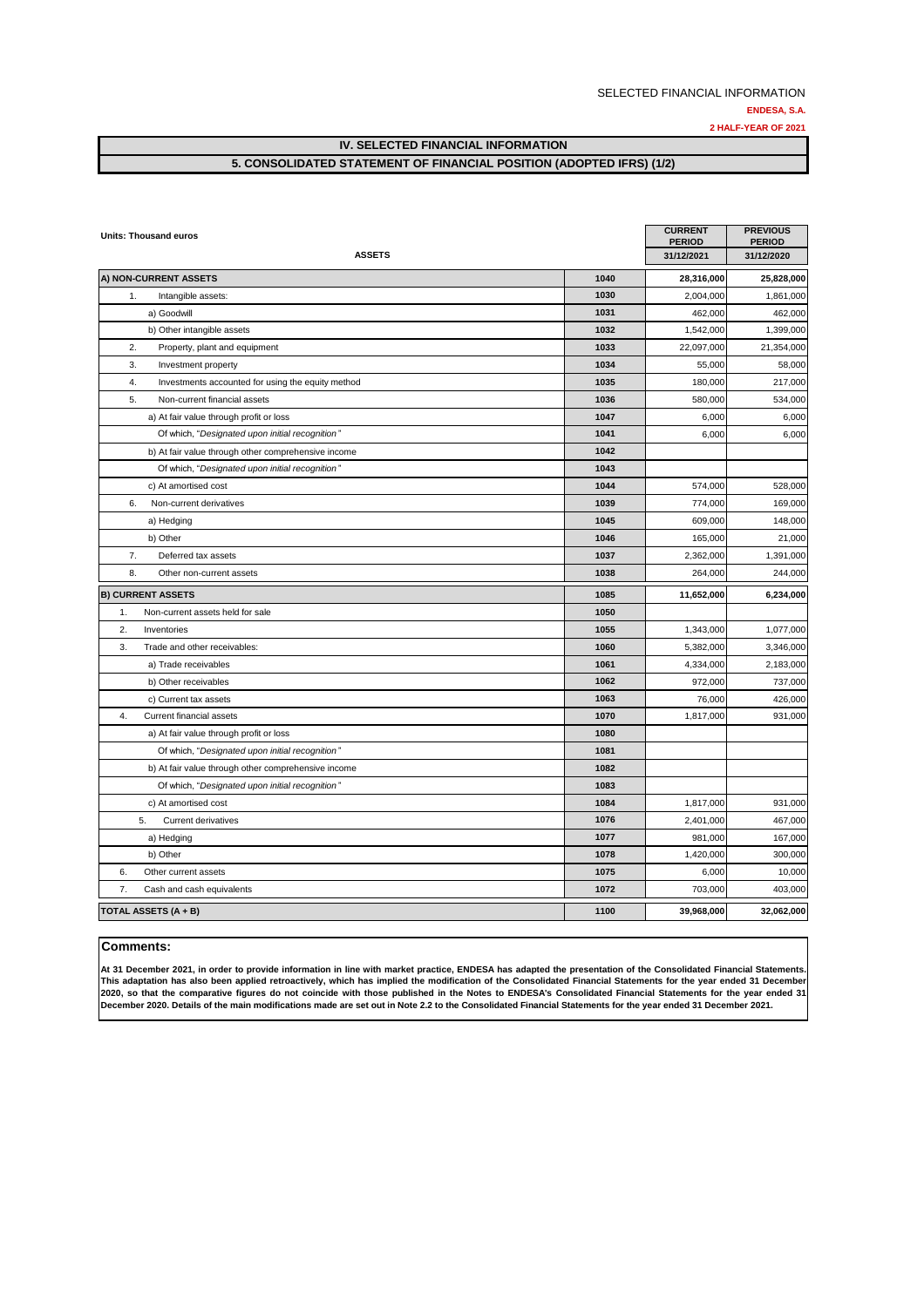**2 HALF-YEAR OF 2021**

**IV. SELECTED FINANCIAL INFORMATION** 

#### **5. CONSOLIDATED STATEMENT OF FINANCIAL POSITION (ADOPTED IFRS) (1/2)**

| Units: Thousand euros                                   |      | <b>CURRENT</b><br><b>PERIOD</b> | <b>PREVIOUS</b><br><b>PERIOD</b> |
|---------------------------------------------------------|------|---------------------------------|----------------------------------|
| <b>ASSETS</b>                                           |      | 31/12/2021                      | 31/12/2020                       |
| A) NON-CURRENT ASSETS                                   | 1040 | 28,316,000                      | 25,828,000                       |
| 1.<br>Intangible assets:                                | 1030 | 2,004,000                       | 1,861,000                        |
| a) Goodwill                                             | 1031 | 462,000                         | 462,000                          |
| b) Other intangible assets                              | 1032 | 1,542,000                       | 1,399,000                        |
| 2.<br>Property, plant and equipment                     | 1033 | 22,097,000                      | 21,354,000                       |
| 3.<br>Investment property                               | 1034 | 55,000                          | 58,000                           |
| 4.<br>Investments accounted for using the equity method | 1035 | 180,000                         | 217,000                          |
| 5.<br>Non-current financial assets                      | 1036 | 580,000                         | 534,000                          |
| a) At fair value through profit or loss                 | 1047 | 6,000                           | 6,000                            |
| Of which, "Designated upon initial recognition"         | 1041 | 6,000                           | 6,000                            |
| b) At fair value through other comprehensive income     | 1042 |                                 |                                  |
| Of which, "Designated upon initial recognition"         | 1043 |                                 |                                  |
| c) At amortised cost                                    | 1044 | 574,000                         | 528,000                          |
| 6.<br>Non-current derivatives                           | 1039 | 774,000                         | 169,000                          |
| a) Hedging                                              | 1045 | 609,000                         | 148,000                          |
| b) Other                                                | 1046 | 165,000                         | 21,000                           |
| 7.<br>Deferred tax assets                               | 1037 | 2,362,000                       | 1,391,000                        |
| 8.<br>Other non-current assets                          | 1038 | 264,000                         | 244,000                          |
| <b>B) CURRENT ASSETS</b>                                | 1085 | 11,652,000                      | 6,234,000                        |
| 1.<br>Non-current assets held for sale                  | 1050 |                                 |                                  |
| 2.<br>Inventories                                       | 1055 | 1,343,000                       | 1,077,000                        |
| 3.<br>Trade and other receivables:                      | 1060 | 5,382,000                       | 3,346,000                        |
| a) Trade receivables                                    | 1061 | 4,334,000                       | 2,183,000                        |
| b) Other receivables                                    | 1062 | 972,000                         | 737,000                          |
| c) Current tax assets                                   | 1063 | 76,000                          | 426,000                          |
| 4.<br>Current financial assets                          | 1070 | 1,817,000                       | 931,000                          |
| a) At fair value through profit or loss                 | 1080 |                                 |                                  |
| Of which, "Designated upon initial recognition"         | 1081 |                                 |                                  |
| b) At fair value through other comprehensive income     | 1082 |                                 |                                  |
| Of which, "Designated upon initial recognition"         | 1083 |                                 |                                  |
| c) At amortised cost                                    | 1084 | 1,817,000                       | 931,000                          |
| 5.<br><b>Current derivatives</b>                        | 1076 | 2,401,000                       | 467,000                          |
| a) Hedging                                              | 1077 | 981,000                         | 167,000                          |
| b) Other                                                | 1078 | 1,420,000                       | 300,000                          |
| 6.<br>Other current assets                              | 1075 | 6,000                           | 10,000                           |
| 7.<br>Cash and cash equivalents                         | 1072 | 703,000                         | 403,000                          |
| <b>TOTAL ASSETS (A + B)</b>                             | 1100 | 39,968,000                      | 32,062,000                       |

#### **Comments:**

At 31 December 2021, in order to provide information in line with market practice, ENDESA has adapted the presentation of the Consolidated Financial Statements. This adaptation has also been applied retroactively, which has implied the modification of the Consolidated Financial Statements for the year ended 31 December 2020, so that the comparative figures do not coincide with those published in the Notes to ENDESA's Consolidated Financial Statements for the year ended 31 **December 2020. Details of the main modifications made are set out in Note 2.2 to the Consolidated Financial Statements for the year ended 31 December 2021.**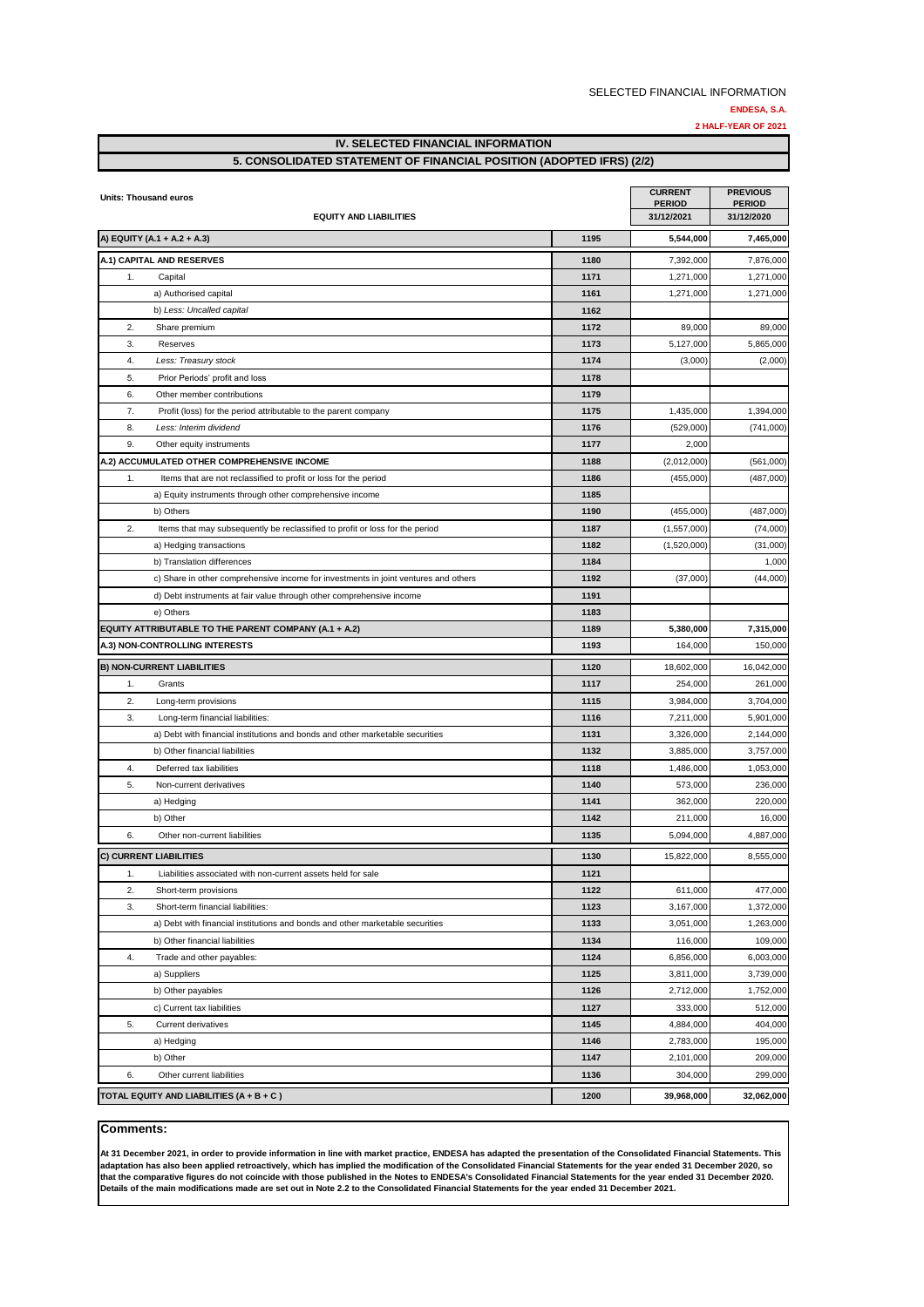**2 HALF-YEAR OF 2021**

**IV. SELECTED FINANCIAL INFORMATION 5. CONSOLIDATED STATEMENT OF FINANCIAL POSITION (ADOPTED IFRS) (2/2)**

|    | <b>Units: Thousand euros</b>                                                        |      | <b>CURRENT</b><br><b>PERIOD</b> | <b>PREVIOUS</b><br><b>PERIOD</b> |
|----|-------------------------------------------------------------------------------------|------|---------------------------------|----------------------------------|
|    | <b>EQUITY AND LIABILITIES</b>                                                       |      | 31/12/2021                      | 31/12/2020                       |
|    | A) EQUITY (A.1 + A.2 + A.3)                                                         | 1195 | 5,544,000                       | 7,465,000                        |
|    | A.1) CAPITAL AND RESERVES                                                           | 1180 | 7,392,000                       | 7,876,000                        |
| 1. | Capital                                                                             | 1171 | 1,271,000                       | 1,271,000                        |
|    | a) Authorised capital                                                               | 1161 | 1,271,000                       | 1,271,000                        |
|    | b) Less: Uncalled capital                                                           | 1162 |                                 |                                  |
| 2. | Share premium                                                                       | 1172 | 89,000                          | 89,000                           |
| 3. | Reserves                                                                            | 1173 | 5,127,000                       | 5,865,000                        |
| 4. | Less: Treasury stock                                                                | 1174 | (3,000)                         | (2,000)                          |
| 5. | Prior Periods' profit and loss                                                      | 1178 |                                 |                                  |
| 6. | Other member contributions                                                          | 1179 |                                 |                                  |
| 7. | Profit (loss) for the period attributable to the parent company                     | 1175 | 1,435,000                       | 1,394,000                        |
| 8. | Less: Interim dividend                                                              | 1176 | (529,000)                       | (741,000)                        |
| 9. | Other equity instruments                                                            | 1177 | 2,000                           |                                  |
|    | A.2) ACCUMULATED OTHER COMPREHENSIVE INCOME                                         | 1188 | (2,012,000)                     | (561,000)                        |
| 1. | Items that are not reclassified to profit or loss for the period                    | 1186 | (455,000)                       | (487,000)                        |
|    | a) Equity instruments through other comprehensive income                            | 1185 |                                 |                                  |
|    | b) Others                                                                           | 1190 | (455,000)                       | (487,000)                        |
| 2. | Items that may subsequently be reclassified to profit or loss for the period        | 1187 | (1,557,000)                     | (74,000)                         |
|    | a) Hedging transactions                                                             | 1182 | (1,520,000)                     | (31,000)                         |
|    | b) Translation differences                                                          | 1184 |                                 | 1,000                            |
|    | c) Share in other comprehensive income for investments in joint ventures and others | 1192 | (37,000)                        | (44,000)                         |
|    | d) Debt instruments at fair value through other comprehensive income                | 1191 |                                 |                                  |
|    | e) Others                                                                           | 1183 |                                 |                                  |
|    | EQUITY ATTRIBUTABLE TO THE PARENT COMPANY (A.1 + A.2)                               | 1189 | 5,380,000                       | 7,315,000                        |
|    | A.3) NON-CONTROLLING INTERESTS                                                      | 1193 | 164,000                         | 150,000                          |
|    | <b>B) NON-CURRENT LIABILITIES</b>                                                   | 1120 | 18,602,000                      | 16,042,000                       |
| 1. | Grants                                                                              | 1117 | 254,000                         | 261,000                          |
| 2. | Long-term provisions                                                                | 1115 | 3,984,000                       | 3,704,000                        |
| 3. | Long-term financial liabilities:                                                    | 1116 | 7,211,000                       | 5,901,000                        |
|    | a) Debt with financial institutions and bonds and other marketable securities       | 1131 | 3,326,000                       | 2,144,000                        |
|    | b) Other financial liabilities                                                      | 1132 | 3,885,000                       | 3,757,000                        |
| 4. | Deferred tax liabilities                                                            | 1118 | 1,486,000                       | 1,053,000                        |
| 5. | Non-current derivatives                                                             | 1140 | 573,000                         | 236,000                          |
|    | a) Hedging                                                                          | 1141 | 362,000                         | 220,000                          |
|    | b) Other                                                                            | 1142 | 211,000                         | 16,000                           |
| 6. | Other non-current liabilities                                                       | 1135 | 5,094,000                       | 4,887,000                        |
|    |                                                                                     |      |                                 |                                  |
|    | <b>C) CURRENT LIABILITIES</b>                                                       | 1130 | 15,822,000                      | 8,555,000                        |
| 1. | Liabilities associated with non-current assets held for sale                        | 1121 |                                 |                                  |
| 2. | Short-term provisions                                                               | 1122 | 611,000                         | 477,000                          |
| 3. | Short-term financial liabilities:                                                   | 1123 | 3,167,000                       | 1,372,000                        |
|    | a) Debt with financial institutions and bonds and other marketable securities       | 1133 | 3,051,000                       | 1,263,000                        |
|    | b) Other financial liabilities                                                      | 1134 | 116,000                         | 109,000                          |
| 4. | Trade and other payables:                                                           | 1124 | 6,856,000                       | 6,003,000                        |
|    | a) Suppliers                                                                        | 1125 | 3,811,000                       | 3,739,000                        |
|    | b) Other payables                                                                   | 1126 | 2,712,000                       | 1,752,000                        |
|    | c) Current tax liabilities                                                          | 1127 | 333,000                         | 512,000                          |
| 5. | <b>Current derivatives</b>                                                          | 1145 | 4,884,000                       | 404,000                          |
|    | a) Hedging                                                                          | 1146 | 2,783,000                       | 195,000                          |
|    | b) Other                                                                            | 1147 | 2,101,000                       | 209,000                          |
| 6. | Other current liabilities                                                           | 1136 | 304,000                         | 299,000                          |
|    | TOTAL EQUITY AND LIABILITIES (A + B + C)                                            | 1200 | 39,968,000                      | 32,062,000                       |

#### **Comments:**

**At 31 December 2021, in order to provide information in line with market practice, ENDESA has adapted the presentation of the Consolidated Financial Statements. This adaptation has also been applied retroactively, which has implied the modification of the Consolidated Financial Statements for the year ended 31 December 2020, so that the comparative figures do not coincide with those published in the Notes to ENDESA's Consolidated Financial Statements for the year ended 31 December 2020. Details of the main modifications made are set out in Note 2.2 to the Consolidated Financial Statements for the year ended 31 December 2021.**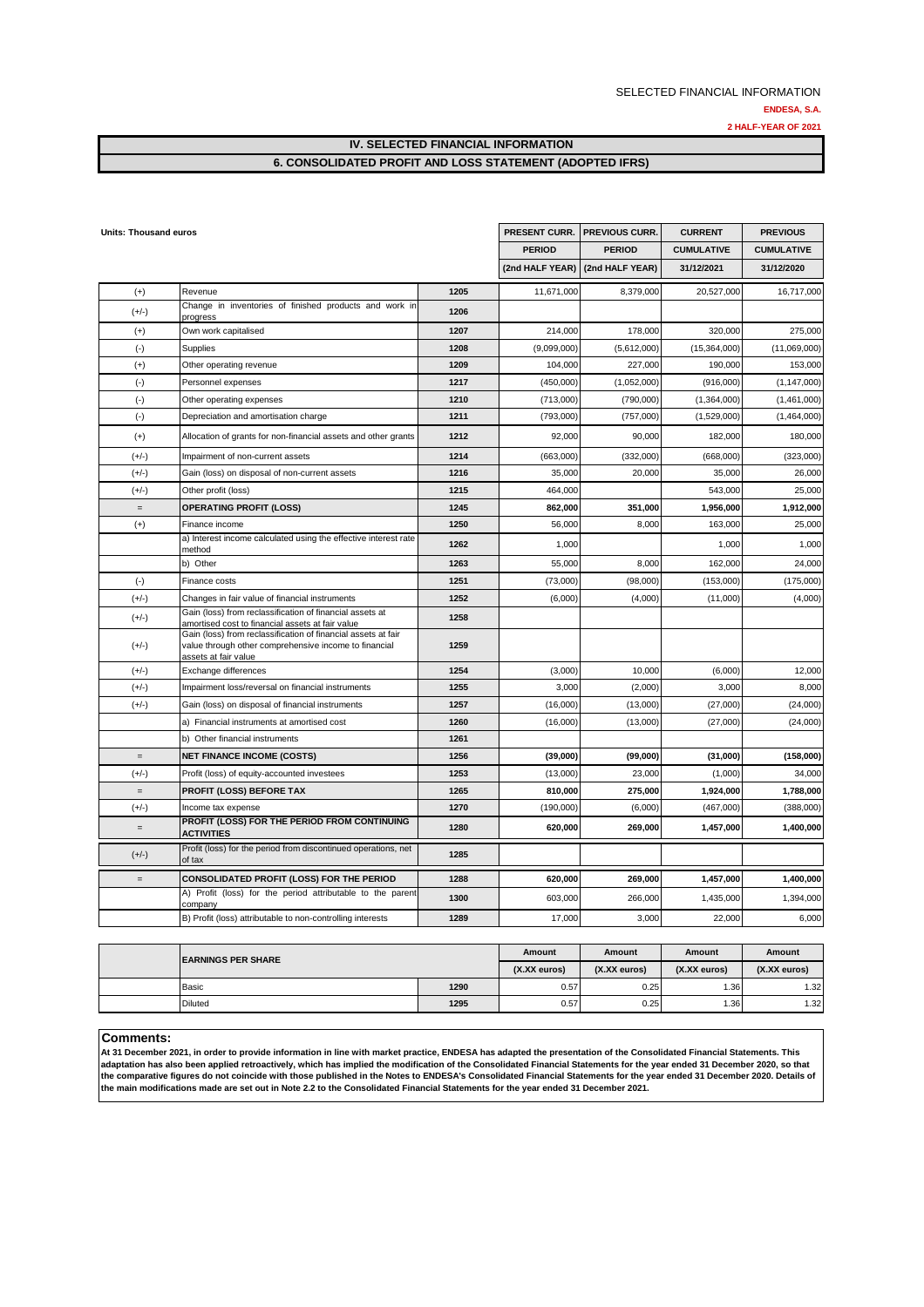#### **IV. SELECTED FINANCIAL INFORMATION 6. CONSOLIDATED PROFIT AND LOSS STATEMENT (ADOPTED IFRS)**

| Revenue<br>1205<br>$(+)$<br>Change in inventories of finished products and work in<br>$(+/-)$<br>1206<br>progress<br>1207<br>$(+)$<br>Own work capitalised<br>$(\cdot)$<br>1208<br><b>Supplies</b><br>$(+)$<br>Other operating revenue<br>1209 | <b>PERIOD</b> | <b>PERIOD</b><br>(2nd HALF YEAR)   (2nd HALF YEAR) | <b>CUMULATIVE</b> | <b>CUMULATIVE</b> |
|------------------------------------------------------------------------------------------------------------------------------------------------------------------------------------------------------------------------------------------------|---------------|----------------------------------------------------|-------------------|-------------------|
|                                                                                                                                                                                                                                                |               |                                                    |                   |                   |
|                                                                                                                                                                                                                                                |               |                                                    | 31/12/2021        | 31/12/2020        |
|                                                                                                                                                                                                                                                | 11,671,000    | 8,379,000                                          | 20,527,000        | 16,717,000        |
|                                                                                                                                                                                                                                                |               |                                                    |                   |                   |
|                                                                                                                                                                                                                                                | 214,000       | 178,000                                            | 320,000           | 275,000           |
|                                                                                                                                                                                                                                                | (9,099,000)   | (5,612,000)                                        | (15,364,000)      | (11,069,000)      |
|                                                                                                                                                                                                                                                | 104,000       | 227,000                                            | 190,000           | 153,000           |
| $(\cdot)$<br>1217<br>Personnel expenses                                                                                                                                                                                                        | (450,000)     | (1,052,000)                                        | (916,000)         | (1, 147, 000)     |
| $(\cdot)$<br>Other operating expenses<br>1210                                                                                                                                                                                                  | (713,000)     | (790,000)                                          | (1,364,000)       | (1,461,000)       |
| $(\text{-})$<br>1211<br>Depreciation and amortisation charge                                                                                                                                                                                   | (793,000)     | (757,000)                                          | (1,529,000)       | (1,464,000)       |
| 1212<br>$(+)$<br>Allocation of grants for non-financial assets and other grants                                                                                                                                                                | 92,000        | 90,000                                             | 182,000           | 180,000           |
| $(+/-)$<br>Impairment of non-current assets<br>1214                                                                                                                                                                                            | (663,000)     | (332,000)                                          | (668,000)         | (323,000)         |
| 1216<br>$(+/-)$<br>Gain (loss) on disposal of non-current assets                                                                                                                                                                               | 35,000        | 20,000                                             | 35,000            | 26,000            |
| $(+/-)$<br>Other profit (loss)<br>1215                                                                                                                                                                                                         | 464,000       |                                                    | 543,000           | 25,000            |
| <b>OPERATING PROFIT (LOSS)</b><br>1245<br>$=$                                                                                                                                                                                                  | 862,000       | 351,000                                            | 1,956,000         | 1,912,000         |
| 1250<br>Finance income<br>$^{(+)}$                                                                                                                                                                                                             | 56,000        | 8,000                                              | 163,000           | 25,000            |
| a) Interest income calculated using the effective interest rate<br>1262<br>method                                                                                                                                                              | 1,000         |                                                    | 1,000             | 1,000             |
| b) Other<br>1263                                                                                                                                                                                                                               | 55,000        | 8,000                                              | 162,000           | 24,000            |
| $(-)$<br>1251<br>Finance costs                                                                                                                                                                                                                 | (73,000)      | (98,000)                                           | (153,000)         | (175,000)         |
| 1252<br>$(+/-)$<br>Changes in fair value of financial instruments                                                                                                                                                                              | (6,000)       | (4,000)                                            | (11,000)          | (4,000)           |
| Gain (loss) from reclassification of financial assets at<br>$(+/-)$<br>1258<br>amortised cost to financial assets at fair value                                                                                                                |               |                                                    |                   |                   |
| Gain (loss) from reclassification of financial assets at fair<br>1259<br>$(+/-)$<br>value through other comprehensive income to financial<br>assets at fair value                                                                              |               |                                                    |                   |                   |
| 1254<br>$(+/-)$<br>Exchange differences                                                                                                                                                                                                        | (3,000)       | 10,000                                             | (6,000)           | 12,000            |
| $(+/-)$<br>1255<br>Impairment loss/reversal on financial instruments                                                                                                                                                                           | 3,000         | (2,000)                                            | 3,000             | 8,000             |
| 1257<br>$(+/-)$<br>Gain (loss) on disposal of financial instruments                                                                                                                                                                            | (16,000)      | (13,000)                                           | (27,000)          | (24,000)          |
| 1260<br>a) Financial instruments at amortised cost                                                                                                                                                                                             | (16,000)      | (13,000)                                           | (27,000)          | (24,000)          |
| b) Other financial instruments<br>1261                                                                                                                                                                                                         |               |                                                    |                   |                   |
| <b>NET FINANCE INCOME (COSTS)</b><br>1256<br>$=$                                                                                                                                                                                               | (39,000)      | (99,000)                                           | (31,000)          | (158,000)         |
| 1253<br>$(+/-)$<br>Profit (loss) of equity-accounted investees                                                                                                                                                                                 | (13,000)      | 23,000                                             | (1,000)           | 34,000            |
| <b>PROFIT (LOSS) BEFORE TAX</b><br>1265<br>$=$                                                                                                                                                                                                 | 810,000       | 275,000                                            | 1,924,000         | 1,788,000         |
| $(+/-)$<br>1270<br>Income tax expense                                                                                                                                                                                                          | (190,000)     | (6,000)                                            | (467,000)         | (388,000)         |
| PROFIT (LOSS) FOR THE PERIOD FROM CONTINUING<br>1280<br>$=$<br><b>ACTIVITIES</b>                                                                                                                                                               | 620,000       | 269,000                                            | 1,457,000         | 1,400,000         |
| Profit (loss) for the period from discontinued operations, net<br>$(+/-)$<br>1285<br>of tax                                                                                                                                                    |               |                                                    |                   |                   |
| <b>CONSOLIDATED PROFIT (LOSS) FOR THE PERIOD</b><br>1288<br>$=$                                                                                                                                                                                | 620,000       | 269,000                                            | 1,457,000         | 1,400,000         |
| A) Profit (loss) for the period attributable to the parent<br>1300<br>company                                                                                                                                                                  | 603,000       | 266,000                                            | 1,435,000         | 1,394,000         |
| B) Profit (loss) attributable to non-controlling interests<br>1289                                                                                                                                                                             | 17,000        | 3,000                                              | 22,000            | 6,000             |

| <b>IEARNINGS PER SHARE</b> | Amount       | Amount          | Amount       | Amount          |      |
|----------------------------|--------------|-----------------|--------------|-----------------|------|
|                            | (X.XX euros) | $(X.XX)$ euros) | (X.XX euros) | $(X.XX)$ euros) |      |
| Basic                      | 1290         | 0.57            | 0.25         | 1.36            | 1.32 |
| <b>Diluted</b>             | 1295         | 0.57            | 0.25         | 1.36I           | 1.32 |

#### **Comments:**

**At 31 December 2021, in order to provide information in line with market practice, ENDESA has adapted the presentation of the Consolidated Financial Statements. This adaptation has also been applied retroactively, which has implied the modification of the Consolidated Financial Statements for the year ended 31 December 2020, so that the comparative figures do not coincide with those published in the Notes to ENDESA's Consolidated Financial Statements for the year ended 31 December 2020. Details of the main modifications made are set out in Note 2.2 to the Consolidated Financial Statements for the year ended 31 December 2021.**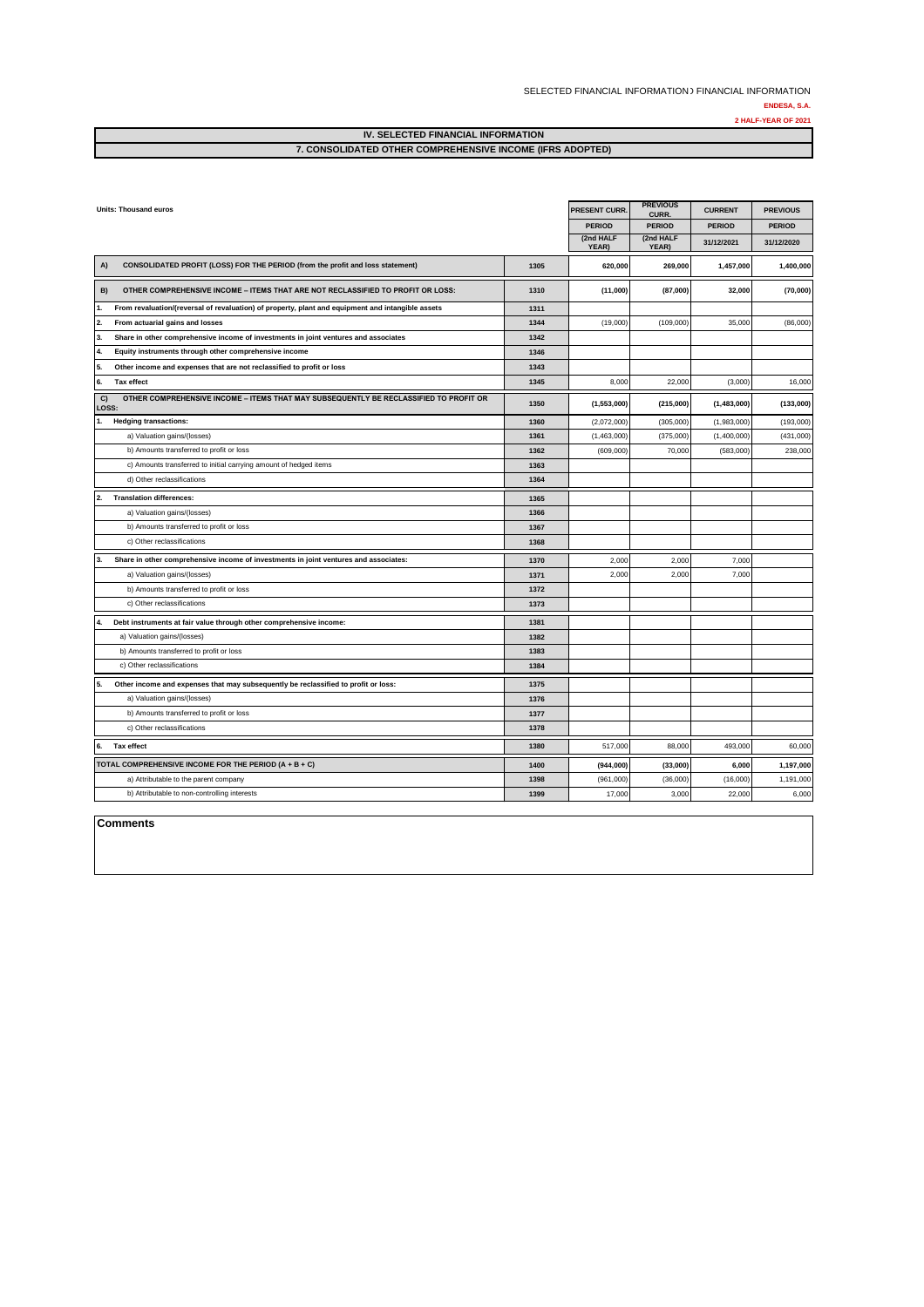SELECTED FINANCIAL INFORMATION ) FINANCIAL INFORMATION

**ENDESA, S.A.**

**2 HALF-YEAR OF 2021**

| <b>IV. SELECTED FINANCIAL INFORMATION</b>                 |  |
|-----------------------------------------------------------|--|
| 7. CONSOLIDATED OTHER COMPREHENSIVE INCOME (IFRS ADOPTED) |  |
|                                                           |  |

| <b>Units: Thousand euros</b>                                                                             |      | PRESENT CURR.      | <b>PREVIOUS</b><br>CURR. | <b>CURRENT</b> | <b>PREVIOUS</b> |
|----------------------------------------------------------------------------------------------------------|------|--------------------|--------------------------|----------------|-----------------|
|                                                                                                          |      | <b>PERIOD</b>      | <b>PERIOD</b>            | <b>PERIOD</b>  | <b>PERIOD</b>   |
|                                                                                                          |      | (2nd HALF<br>YEAR) | (2nd HALF<br>YEAR)       | 31/12/2021     | 31/12/2020      |
| CONSOLIDATED PROFIT (LOSS) FOR THE PERIOD (from the profit and loss statement)<br>A)                     | 1305 | 620,000            | 269,000                  | 1,457,000      | 1,400,000       |
| OTHER COMPREHENSIVE INCOME - ITEMS THAT ARE NOT RECLASSIFIED TO PROFIT OR LOSS:<br>B)                    | 1310 | (11,000)           | (87,000)                 | 32,000         | (70,000)        |
| From revaluation/(reversal of revaluation) of property, plant and equipment and intangible assets<br>11. | 1311 |                    |                          |                |                 |
| 2.<br>From actuarial gains and losses                                                                    | 1344 | (19,000)           | (109,000)                | 35,000         | (86,000)        |
| Share in other comprehensive income of investments in joint ventures and associates<br>13.               | 1342 |                    |                          |                |                 |
| Equity instruments through other comprehensive income<br>14.                                             | 1346 |                    |                          |                |                 |
| Other income and expenses that are not reclassified to profit or loss<br>15.                             | 1343 |                    |                          |                |                 |
| <b>Tax effect</b><br>6.                                                                                  | 1345 | 8,000              | 22,000                   | (3,000)        | 16,000          |
| OTHER COMPREHENSIVE INCOME - ITEMS THAT MAY SUBSEQUENTLY BE RECLASSIFIED TO PROFIT OR<br>C)<br>LOSS:     | 1350 | (1,553,000)        | (215,000)                | (1,483,000)    | (133,000)       |
| <b>Hedging transactions:</b>                                                                             | 1360 | (2,072,000)        | (305,000)                | (1,983,000)    | (193,000)       |
| a) Valuation gains/(losses)                                                                              | 1361 | (1,463,000)        | (375,000)                | (1,400,000)    | (431,000)       |
| b) Amounts transferred to profit or loss                                                                 | 1362 | (609,000)          | 70,000                   | (583,000)      | 238,000         |
| c) Amounts transferred to initial carrying amount of hedged items                                        | 1363 |                    |                          |                |                 |
| d) Other reclassifications                                                                               | 1364 |                    |                          |                |                 |
| <b>Translation differences:</b><br>12.                                                                   | 1365 |                    |                          |                |                 |
| a) Valuation gains/(losses)                                                                              | 1366 |                    |                          |                |                 |
| b) Amounts transferred to profit or loss                                                                 | 1367 |                    |                          |                |                 |
| c) Other reclassifications                                                                               | 1368 |                    |                          |                |                 |
| Share in other comprehensive income of investments in joint ventures and associates:<br>13.              | 1370 | 2,000              | 2,000                    | 7,000          |                 |
| a) Valuation gains/(losses)                                                                              | 1371 | 2,000              | 2,000                    | 7,000          |                 |
| b) Amounts transferred to profit or loss                                                                 | 1372 |                    |                          |                |                 |
| c) Other reclassifications                                                                               | 1373 |                    |                          |                |                 |
| Debt instruments at fair value through other comprehensive income:<br>14.                                | 1381 |                    |                          |                |                 |
| a) Valuation gains/(losses)                                                                              | 1382 |                    |                          |                |                 |
| b) Amounts transferred to profit or loss                                                                 | 1383 |                    |                          |                |                 |
| c) Other reclassifications                                                                               | 1384 |                    |                          |                |                 |
| Other income and expenses that may subsequently be reclassified to profit or loss:<br>15.                | 1375 |                    |                          |                |                 |
| a) Valuation gains/(losses)                                                                              | 1376 |                    |                          |                |                 |
| b) Amounts transferred to profit or loss                                                                 | 1377 |                    |                          |                |                 |
| c) Other reclassifications                                                                               | 1378 |                    |                          |                |                 |
| <b>Tax effect</b><br>6.                                                                                  | 1380 | 517,000            | 88,000                   | 493,000        | 60,000          |
| TOTAL COMPREHENSIVE INCOME FOR THE PERIOD (A + B + C)                                                    | 1400 | (944,000)          | (33,000)                 | 6,000          | 1,197,000       |
| a) Attributable to the parent company                                                                    | 1398 | (961,000)          | (36,000)                 | (16,000)       | 1,191,000       |
| b) Attributable to non-controlling interests                                                             | 1399 | 17,000             | 3,000                    | 22,000         | 6,000           |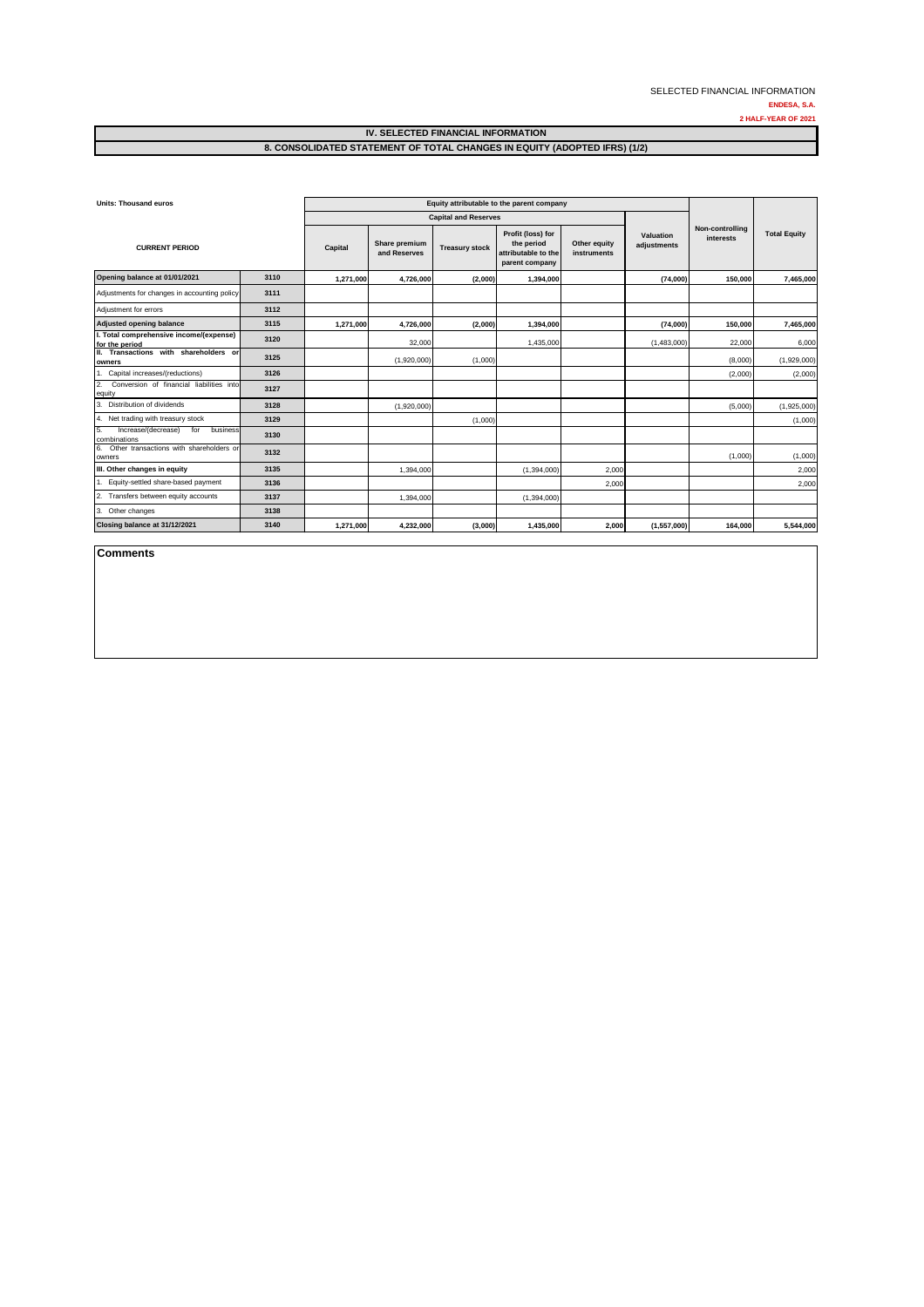**ENDESA, S.A. 2 HALF-YEAR OF 2021**

| <b>Units: Thousand euros</b>                                 |      | Equity attributable to the parent company |                               |                       |                                                                          |                             |                                 |                              |                     |
|--------------------------------------------------------------|------|-------------------------------------------|-------------------------------|-----------------------|--------------------------------------------------------------------------|-----------------------------|---------------------------------|------------------------------|---------------------|
|                                                              |      | <b>Capital and Reserves</b>               |                               |                       |                                                                          |                             |                                 |                              |                     |
| <b>CURRENT PERIOD</b>                                        |      | Capital                                   | Share premium<br>and Reserves | <b>Treasury stock</b> | Profit (loss) for<br>the period<br>attributable to the<br>parent company | Other equity<br>instruments | <b>Valuation</b><br>adjustments | Non-controlling<br>interests | <b>Total Equity</b> |
| Opening balance at 01/01/2021                                | 3110 | 1,271,000                                 | 4,726,000                     | (2,000)               | 1,394,000                                                                |                             | (74,000)                        | 150,000                      | 7,465,000           |
| Adjustments for changes in accounting policy                 | 3111 |                                           |                               |                       |                                                                          |                             |                                 |                              |                     |
| Adjustment for errors                                        | 3112 |                                           |                               |                       |                                                                          |                             |                                 |                              |                     |
| <b>Adjusted opening balance</b>                              | 3115 | 1,271,000                                 | 4,726,000                     | (2,000)               | 1,394,000                                                                |                             | (74,000)                        | 150,000                      | 7,465,000           |
| I. Total comprehensive income/(expense)<br>for the period    | 3120 |                                           | 32,000                        |                       | 1,435,000                                                                |                             | (1,483,000)                     | 22,000                       | 6,000               |
| II. Transactions with shareholders or<br>owners              | 3125 |                                           | (1,920,000)                   | (1,000)               |                                                                          |                             |                                 | (8,000)                      | (1,929,000)         |
| Capital increases/(reductions)                               | 3126 |                                           |                               |                       |                                                                          |                             |                                 | (2,000)                      | (2,000)             |
| Conversion of financial liabilities into<br>2.<br>equity     | 3127 |                                           |                               |                       |                                                                          |                             |                                 |                              |                     |
| 3.<br>Distribution of dividends                              | 3128 |                                           | (1,920,000)                   |                       |                                                                          |                             |                                 | (5,000)                      | (1,925,000)         |
| 4. Net trading with treasury stock                           | 3129 |                                           |                               | (1,000)               |                                                                          |                             |                                 |                              | (1,000)             |
| 5.<br>Increase/(decrease)<br>for<br>business<br>combinations | 3130 |                                           |                               |                       |                                                                          |                             |                                 |                              |                     |
| 6. Other transactions with shareholders or<br>owners         | 3132 |                                           |                               |                       |                                                                          |                             |                                 | (1,000)                      | (1,000)             |
| III. Other changes in equity                                 | 3135 |                                           | 1,394,000                     |                       | (1,394,000)                                                              | 2,000                       |                                 |                              | 2,000               |
| 1. Equity-settled share-based payment                        | 3136 |                                           |                               |                       |                                                                          | 2,000                       |                                 |                              | 2,000               |
| 2. Transfers between equity accounts                         | 3137 |                                           | 1,394,000                     |                       | (1,394,000)                                                              |                             |                                 |                              |                     |
| 3. Other changes                                             | 3138 |                                           |                               |                       |                                                                          |                             |                                 |                              |                     |
| Closing balance at 31/12/2021                                | 3140 | 1,271,000                                 | 4,232,000                     | (3,000)               | 1,435,000                                                                | 2,000                       | (1, 557, 000)                   | 164,000                      | 5,544,000           |

**Comments**

**IV. SELECTED FINANCIAL INFORMATION 8. CONSOLIDATED STATEMENT OF TOTAL CHANGES IN EQUITY (ADOPTED IFRS) (1/2)**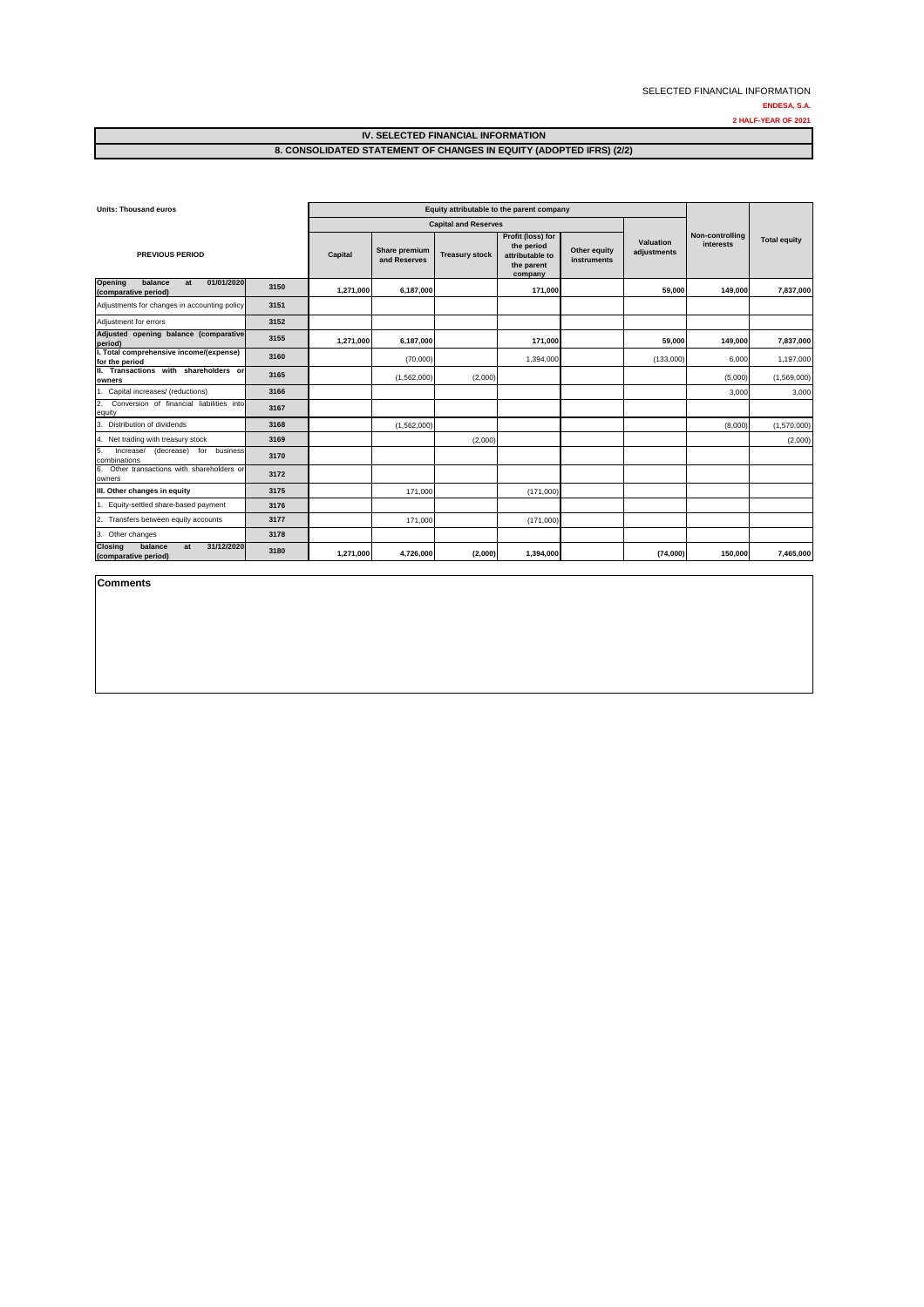**ENDESA, S.A.**

**2 HALF-YEAR OF 2021**

| <b>Units: Thousand euros</b>                                          |      | Equity attributable to the parent company |                               |                             |                                                                             |                             |                                 |                              |                     |
|-----------------------------------------------------------------------|------|-------------------------------------------|-------------------------------|-----------------------------|-----------------------------------------------------------------------------|-----------------------------|---------------------------------|------------------------------|---------------------|
|                                                                       |      |                                           |                               | <b>Capital and Reserves</b> |                                                                             |                             |                                 |                              |                     |
| <b>PREVIOUS PERIOD</b>                                                |      | <b>Capital</b>                            | Share premium<br>and Reserves | <b>Treasury stock</b>       | Profit (loss) for<br>the period<br>attributable to<br>the parent<br>company | Other equity<br>instruments | <b>Valuation</b><br>adjustments | Non-controlling<br>interests | <b>Total equity</b> |
| <b>Opening</b><br>balance<br>01/01/2020<br>at<br>(comparative period) | 3150 | 1,271,000                                 | 6,187,000                     |                             | 171,000                                                                     |                             | 59,000                          | 149,000                      | 7,837,000           |
| Adjustments for changes in accounting policy                          | 3151 |                                           |                               |                             |                                                                             |                             |                                 |                              |                     |
| Adjustment for errors                                                 | 3152 |                                           |                               |                             |                                                                             |                             |                                 |                              |                     |
| Adjusted opening balance (comparative<br>period)                      | 3155 | 1,271,000                                 | 6,187,000                     |                             | 171,000                                                                     |                             | 59,000                          | 149,000                      | 7,837,000           |
| I. Total comprehensive income/(expense)<br>for the period             | 3160 |                                           | (70,000)                      |                             | 1,394,000                                                                   |                             | (133,000)                       | 6,000                        | 1,197,000           |
| Transactions with shareholders or<br>н.<br>owners                     | 3165 |                                           | (1,562,000)                   | (2,000)                     |                                                                             |                             |                                 | (5,000)                      | (1,569,000)         |
| Capital increases/ (reductions)                                       | 3166 |                                           |                               |                             |                                                                             |                             |                                 | 3,000                        | 3,000               |
| Conversion of financial liabilities into<br>2.<br>equity              | 3167 |                                           |                               |                             |                                                                             |                             |                                 |                              |                     |
| Distribution of dividends<br>3.                                       | 3168 |                                           | (1,562,000)                   |                             |                                                                             |                             |                                 | (8,000)                      | (1,570,000)         |
| 4. Net trading with treasury stock                                    | 3169 |                                           |                               | (2,000)                     |                                                                             |                             |                                 |                              | (2,000)             |
| 5.<br>Increase/<br>(decrease)<br>for<br>business<br>combinations      | 3170 |                                           |                               |                             |                                                                             |                             |                                 |                              |                     |
| Other transactions with shareholders or<br>6.<br>owners               | 3172 |                                           |                               |                             |                                                                             |                             |                                 |                              |                     |
| III. Other changes in equity                                          | 3175 |                                           | 171,000                       |                             | (171,000)                                                                   |                             |                                 |                              |                     |
| Equity-settled share-based payment                                    | 3176 |                                           |                               |                             |                                                                             |                             |                                 |                              |                     |
| Transfers between equity accounts                                     | 3177 |                                           | 171,000                       |                             | (171,000)                                                                   |                             |                                 |                              |                     |
| Other changes<br>3.                                                   | 3178 |                                           |                               |                             |                                                                             |                             |                                 |                              |                     |
| <b>Closing</b><br>31/12/2020<br>balance<br>at<br>(comparative period) | 3180 | 1,271,000                                 | 4,726,000                     | (2,000)                     | 1,394,000                                                                   |                             | (74,000)                        | 150,000                      | 7,465,000           |

**Comments**

### **IV. SELECTED FINANCIAL INFORMATION 8. CONSOLIDATED STATEMENT OF CHANGES IN EQUITY (ADOPTED IFRS) (2/2)**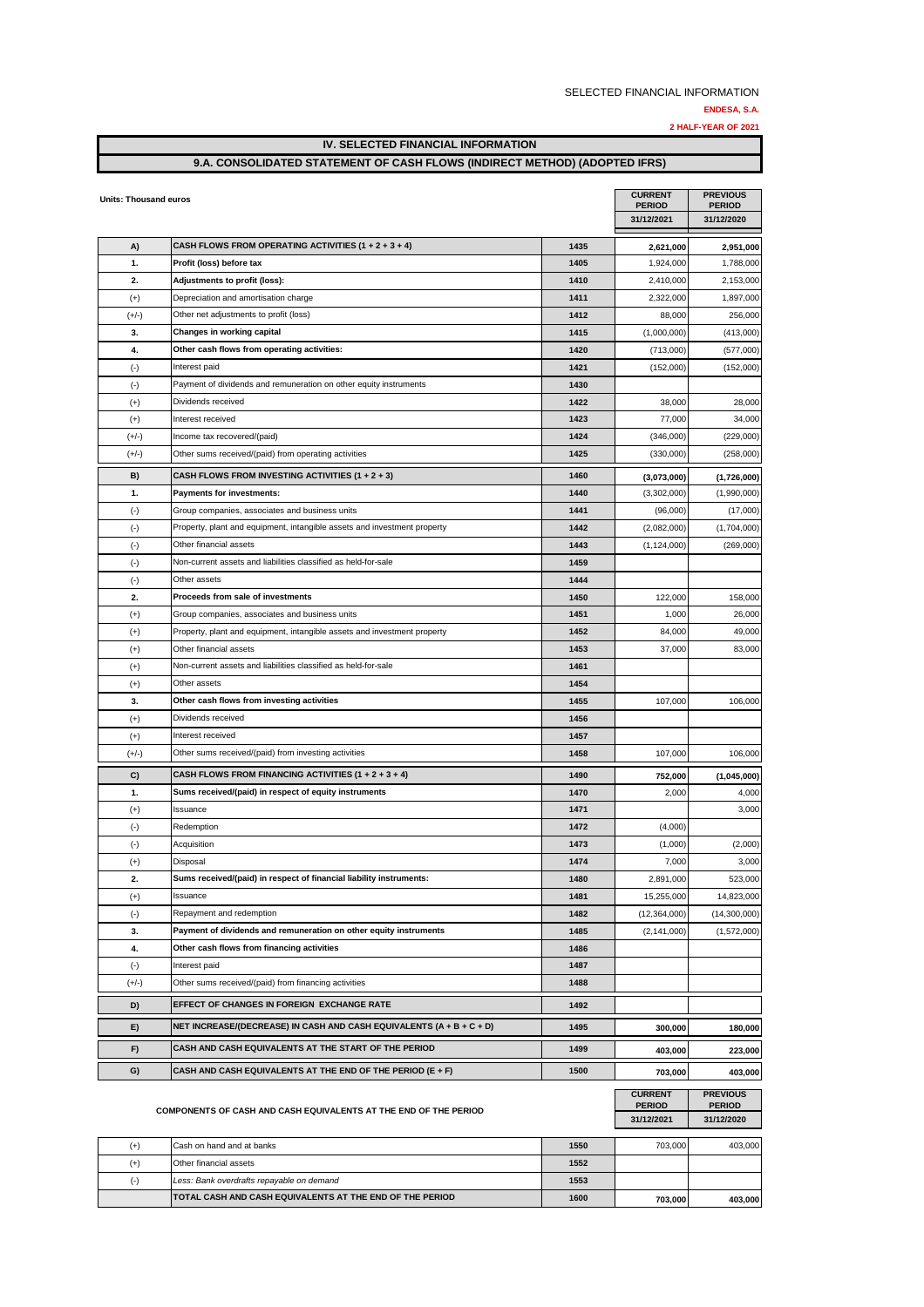**ENDESA, S.A.**

| 2 HALF-YEAR OF 2021 |  |
|---------------------|--|
|---------------------|--|

| IV. SELECTED FINANCIAL INFORMATION                                         |  |
|----------------------------------------------------------------------------|--|
| 9.A. CONSOLIDATED STATEMENT OF CASH FLOWS (INDIRECT METHOD) (ADOPTED IFRS) |  |

| <b>Units: Thousand euros</b> |                                                                          |              | <b>CURRENT</b><br><b>PERIOD</b><br>31/12/2021 | <b>PREVIOUS</b><br><b>PERIOD</b><br>31/12/2020 |
|------------------------------|--------------------------------------------------------------------------|--------------|-----------------------------------------------|------------------------------------------------|
| A)                           | CASH FLOWS FROM OPERATING ACTIVITIES $(1 + 2 + 3 + 4)$                   | 1435         | 2,621,000                                     | 2,951,000                                      |
| 1.                           | Profit (loss) before tax                                                 | 1405         | 1,924,000                                     | 1,788,000                                      |
| 2.                           | Adjustments to profit (loss):                                            | 1410         | 2,410,000                                     | 2,153,000                                      |
| $(+)$                        | Depreciation and amortisation charge                                     | 1411         | 2,322,000                                     | 1,897,000                                      |
| $(+/-)$                      | Other net adjustments to profit (loss)                                   | 1412         | 88,000                                        | 256,000                                        |
| 3.                           | Changes in working capital                                               | 1415         | (1,000,000)                                   | (413,000)                                      |
| 4.                           | Other cash flows from operating activities:                              | 1420         | (713,000)                                     | (577,000)                                      |
| $(\cdot)$                    | Interest paid                                                            | 1421         | (152,000)                                     | (152,000)                                      |
| $(\cdot)$                    | Payment of dividends and remuneration on other equity instruments        | 1430         |                                               |                                                |
| $(+)$                        | Dividends received                                                       | 1422         | 38,000                                        | 28,000                                         |
| $(+)$                        | Interest received                                                        | 1423         | 77,000                                        | 34,000                                         |
| $(+/-)$                      | Income tax recovered/(paid)                                              | 1424         | (346,000)                                     | (229,000)                                      |
| $(+/-)$                      | Other sums received/(paid) from operating activities                     | 1425         | (330,000)                                     | (258,000)                                      |
| B)                           | CASH FLOWS FROM INVESTING ACTIVITIES (1 + 2 + 3)                         | 1460         | (3,073,000)                                   | (1,726,000)                                    |
| 1.                           | <b>Payments for investments:</b>                                         | 1440         | (3,302,000)                                   | (1,990,000)                                    |
| $(-)$                        | Group companies, associates and business units                           | 1441         | (96,000)                                      | (17,000)                                       |
| $(\cdot)$                    | Property, plant and equipment, intangible assets and investment property | 1442         | (2,082,000)                                   | (1,704,000)                                    |
| $(\cdot)$                    | Other financial assets                                                   | 1443         | (1, 124, 000)                                 | (269,000)                                      |
| $(\cdot)$                    | Non-current assets and liabilities classified as held-for-sale           | 1459         |                                               |                                                |
| $(\cdot)$                    | Other assets                                                             | 1444         |                                               |                                                |
| 2.                           | Proceeds from sale of investments                                        | 1450         | 122,000                                       | 158,000                                        |
| $(+)$                        | Group companies, associates and business units                           | 1451         | 1,000                                         | 26,000                                         |
| $(+)$                        | Property, plant and equipment, intangible assets and investment property | 1452         | 84,000                                        | 49,000                                         |
| $(+)$                        | Other financial assets                                                   | 1453         | 37,000                                        | 83,000                                         |
| $(+)$                        | Non-current assets and liabilities classified as held-for-sale           | 1461         |                                               |                                                |
| $(+)$                        | Other assets                                                             | 1454         |                                               |                                                |
| 3.                           | Other cash flows from investing activities                               | 1455         | 107,000                                       | 106,000                                        |
| $(+)$                        | Dividends received                                                       | 1456         |                                               |                                                |
| $(+)$                        | Interest received                                                        | 1457         |                                               |                                                |
| $(+/-)$                      | Other sums received/(paid) from investing activities                     | 1458         | 107,000                                       | 106,000                                        |
| C)                           | CASH FLOWS FROM FINANCING ACTIVITIES $(1 + 2 + 3 + 4)$                   | 1490         | 752,000                                       | (1,045,000)                                    |
| 1.                           | Sums received/(paid) in respect of equity instruments                    | 1470         | 2,000                                         | 4,000                                          |
| $(+)$                        | Issuance                                                                 | 1471         |                                               | 3,000                                          |
| $(\cdot)$                    | Redemption                                                               | 1472         | (4,000)                                       |                                                |
| $(\cdot)$                    | Acquisition                                                              | 1473         | (1,000)                                       | (2,000)                                        |
| $(+)$                        | Disposal                                                                 | 1474         | 7,000                                         | 3,000                                          |
| 2.                           | Sums received/(paid) in respect of financial liability instruments:      | 1480         | 2,891,000                                     | 523,000                                        |
| $(+)$                        | Issuance<br>Repayment and redemption                                     | 1481         | 15,255,000                                    | 14,823,000                                     |
| $(\cdot)$<br>3.              | Payment of dividends and remuneration on other equity instruments        | 1482<br>1485 | (12, 364, 000)                                | (14,300,000)                                   |
| 4.                           | Other cash flows from financing activities                               | 1486         | (2, 141, 000)                                 | (1,572,000)                                    |
| $(\cdot)$                    | Interest paid                                                            | 1487         |                                               |                                                |
| $(+/-)$                      | Other sums received/(paid) from financing activities                     | 1488         |                                               |                                                |
|                              | EFFECT OF CHANGES IN FOREIGN EXCHANGE RATE                               |              |                                               |                                                |
| D)                           |                                                                          | 1492         |                                               |                                                |
| E)                           | NET INCREASE/(DECREASE) IN CASH AND CASH EQUIVALENTS $(A + B + C + D)$   | 1495         | 300,000                                       | 180,000                                        |
| F)                           | CASH AND CASH EQUIVALENTS AT THE START OF THE PERIOD                     | 1499         | 403,000                                       | 223,000                                        |
| G)                           | CASH AND CASH EQUIVALENTS AT THE END OF THE PERIOD (E + F)               | 1500         | 703,000                                       | 403,000                                        |
|                              | <b>COMPONENTS OF CASH AND CASH EQUIVALENTS AT THE END OF THE PERIOD</b>  |              | <b>CURRENT</b><br><b>PERIOD</b><br>31/12/2021 | <b>PREVIOUS</b><br><b>PERIOD</b><br>31/12/2020 |
| $(+)$                        | Cash on hand and at banks                                                | 1550         | 703,000                                       | 403,000                                        |
| $(+)$                        | Other financial assets                                                   | 1552         |                                               |                                                |
| $(\cdot)$                    | Less: Bank overdrafts repayable on demand                                | 1553         |                                               |                                                |
|                              | TOTAL CASH AND CASH EQUIVALENTS AT THE END OF THE PERIOD                 | 1600         | 703,000                                       | 403,000                                        |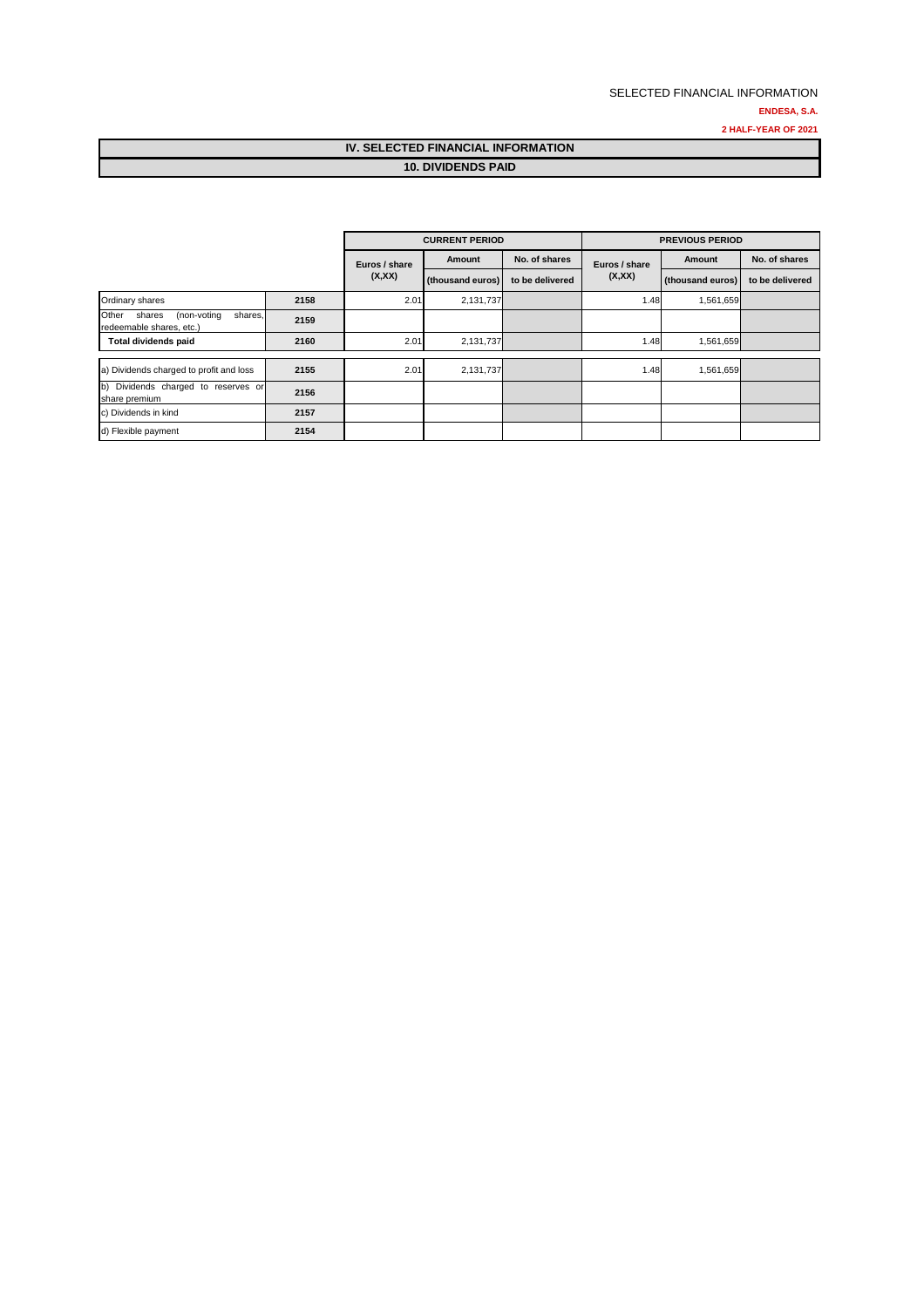#### SELECTED FINANCIAL INFORMATION **ENDESA, S.A. 2 HALF-YEAR OF 2021**

### **IV. SELECTED FINANCIAL INFORMATION 10. DIVIDENDS PAID**

|                                                                       |      | <b>CURRENT PERIOD</b> |                  |                 | <b>PREVIOUS PERIOD</b> |                  |                 |  |
|-----------------------------------------------------------------------|------|-----------------------|------------------|-----------------|------------------------|------------------|-----------------|--|
|                                                                       |      | Euros / share         | Amount           | No. of shares   | Euros / share          | Amount           | No. of shares   |  |
|                                                                       |      | (X,XX)                | (thousand euros) | to be delivered | (X,XX)                 | (thousand euros) | to be delivered |  |
| Ordinary shares                                                       | 2158 | 2.01                  | 2,131,737        |                 | 1.48                   | 1,561,659        |                 |  |
| Other<br>(non-voting<br>shares<br>shares.<br>redeemable shares, etc.) | 2159 |                       |                  |                 |                        |                  |                 |  |
| <b>Total dividends paid</b>                                           | 2160 | 2.01                  | 2,131,737        |                 | 1.48                   | 1,561,659        |                 |  |
|                                                                       |      |                       |                  |                 |                        |                  |                 |  |
| a) Dividends charged to profit and loss                               | 2155 | 2.01                  | 2,131,737        |                 | 1.48                   | 1,561,659        |                 |  |
| b) Dividends charged to reserves or<br>share premium                  | 2156 |                       |                  |                 |                        |                  |                 |  |
| c) Dividends in kind                                                  | 2157 |                       |                  |                 |                        |                  |                 |  |
| d) Flexible payment                                                   | 2154 |                       |                  |                 |                        |                  |                 |  |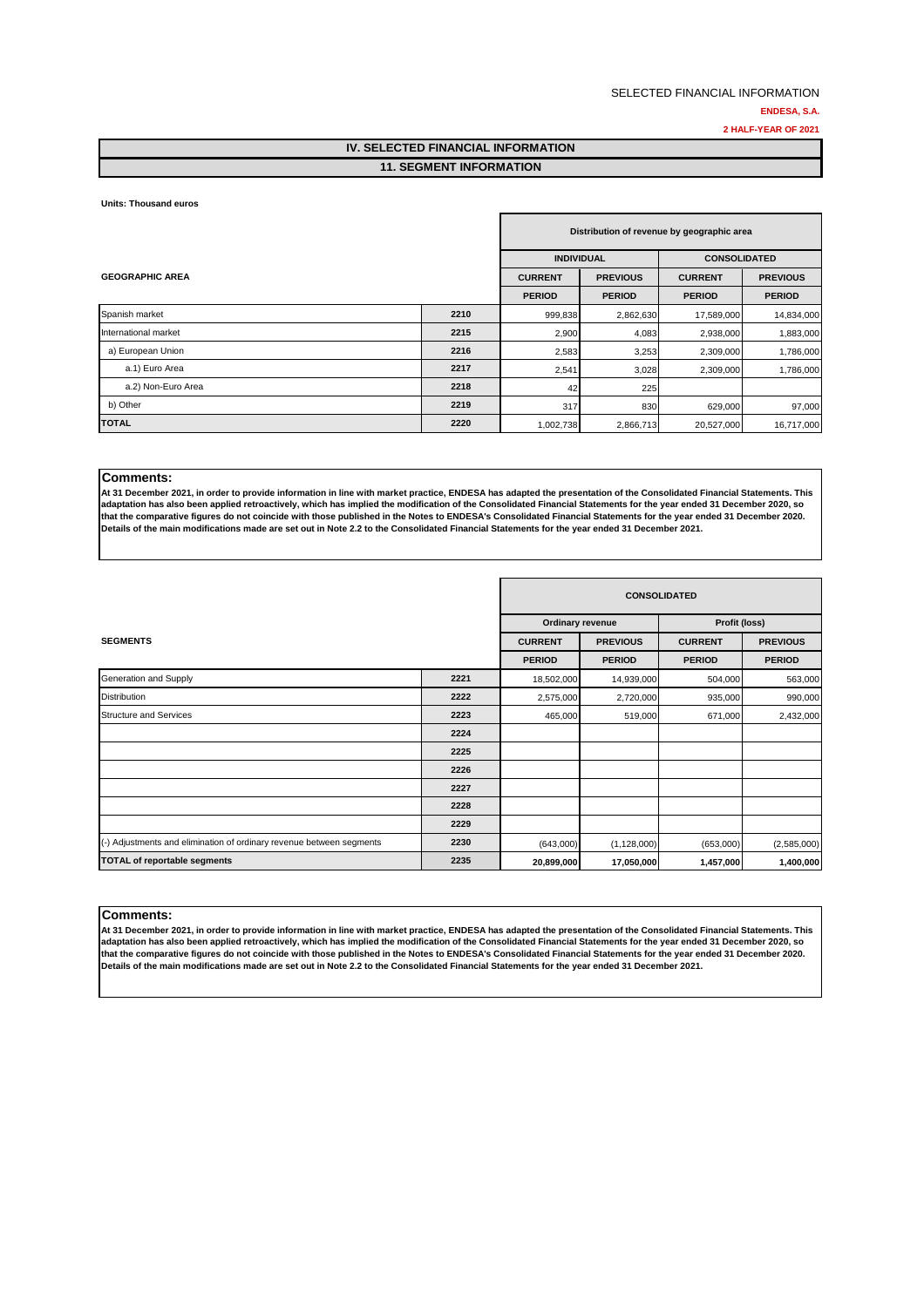#### **IV. SELECTED FINANCIAL INFORMATION 11. SEGMENT INFORMATION**

#### **Units: Thousand euros**

|                        |      | Distribution of revenue by geographic area |                 |                     |                 |
|------------------------|------|--------------------------------------------|-----------------|---------------------|-----------------|
|                        |      | <b>INDIVIDUAL</b>                          |                 | <b>CONSOLIDATED</b> |                 |
| <b>GEOGRAPHIC AREA</b> |      | <b>CURRENT</b>                             | <b>PREVIOUS</b> | <b>CURRENT</b>      | <b>PREVIOUS</b> |
|                        |      | <b>PERIOD</b>                              | <b>PERIOD</b>   | <b>PERIOD</b>       | <b>PERIOD</b>   |
| Spanish market         | 2210 | 999,838                                    | 2,862,630       | 17,589,000          | 14,834,000      |
| International market   | 2215 | 2,900                                      | 4,083           | 2,938,000           | 1,883,000       |
| a) European Union      | 2216 | 2,583                                      | 3,253           | 2,309,000           | 1,786,000       |
| a.1) Euro Area         | 2217 | 2,541                                      | 3,028           | 2,309,000           | 1,786,000       |
| a.2) Non-Euro Area     | 2218 | 42                                         | 225             |                     |                 |
| b) Other               | 2219 | 317                                        | 830             | 629,000             | 97,000          |
| <b>TOTAL</b>           | 2220 | 1,002,738                                  | 2,866,713       | 20,527,000          | 16,717,000      |

#### **Comments:**

**At 31 December 2021, in order to provide information in line with market practice, ENDESA has adapted the presentation of the Consolidated Financial Statements. This adaptation has also been applied retroactively, which has implied the modification of the Consolidated Financial Statements for the year ended 31 December 2020, so that the comparative figures do not coincide with those published in the Notes to ENDESA's Consolidated Financial Statements for the year ended 31 December 2020. Details of the main modifications made are set out in Note 2.2 to the Consolidated Financial Statements for the year ended 31 December 2021.**

|                                                                      |      | <b>CONSOLIDATED</b>     |                 |                |                 |
|----------------------------------------------------------------------|------|-------------------------|-----------------|----------------|-----------------|
|                                                                      |      | <b>Ordinary revenue</b> |                 | Profit (loss)  |                 |
| <b>SEGMENTS</b>                                                      |      | <b>CURRENT</b>          | <b>PREVIOUS</b> | <b>CURRENT</b> | <b>PREVIOUS</b> |
|                                                                      |      | <b>PERIOD</b>           | <b>PERIOD</b>   | <b>PERIOD</b>  | <b>PERIOD</b>   |
| Generation and Supply                                                | 2221 | 18,502,000              | 14,939,000      | 504,000        | 563,000         |
| <b>Distribution</b>                                                  | 2222 | 2,575,000               | 2,720,000       | 935,000        | 990,000         |
| <b>Structure and Services</b>                                        | 2223 | 465,000                 | 519,000         | 671,000        | 2,432,000       |
|                                                                      | 2224 |                         |                 |                |                 |
|                                                                      | 2225 |                         |                 |                |                 |
|                                                                      | 2226 |                         |                 |                |                 |
|                                                                      | 2227 |                         |                 |                |                 |
|                                                                      | 2228 |                         |                 |                |                 |
|                                                                      | 2229 |                         |                 |                |                 |
| (-) Adjustments and elimination of ordinary revenue between segments | 2230 | (643,000)               | (1, 128, 000)   | (653,000)      | (2,585,000)     |
| <b>TOTAL of reportable segments</b>                                  | 2235 | 20,899,000              | 17,050,000      | 1,457,000      | 1,400,000       |

#### **Comments:**

**At 31 December 2021, in order to provide information in line with market practice, ENDESA has adapted the presentation of the Consolidated Financial Statements. This adaptation has also been applied retroactively, which has implied the modification of the Consolidated Financial Statements for the year ended 31 December 2020, so that the comparative figures do not coincide with those published in the Notes to ENDESA's Consolidated Financial Statements for the year ended 31 December 2020. Details of the main modifications made are set out in Note 2.2 to the Consolidated Financial Statements for the year ended 31 December 2021.**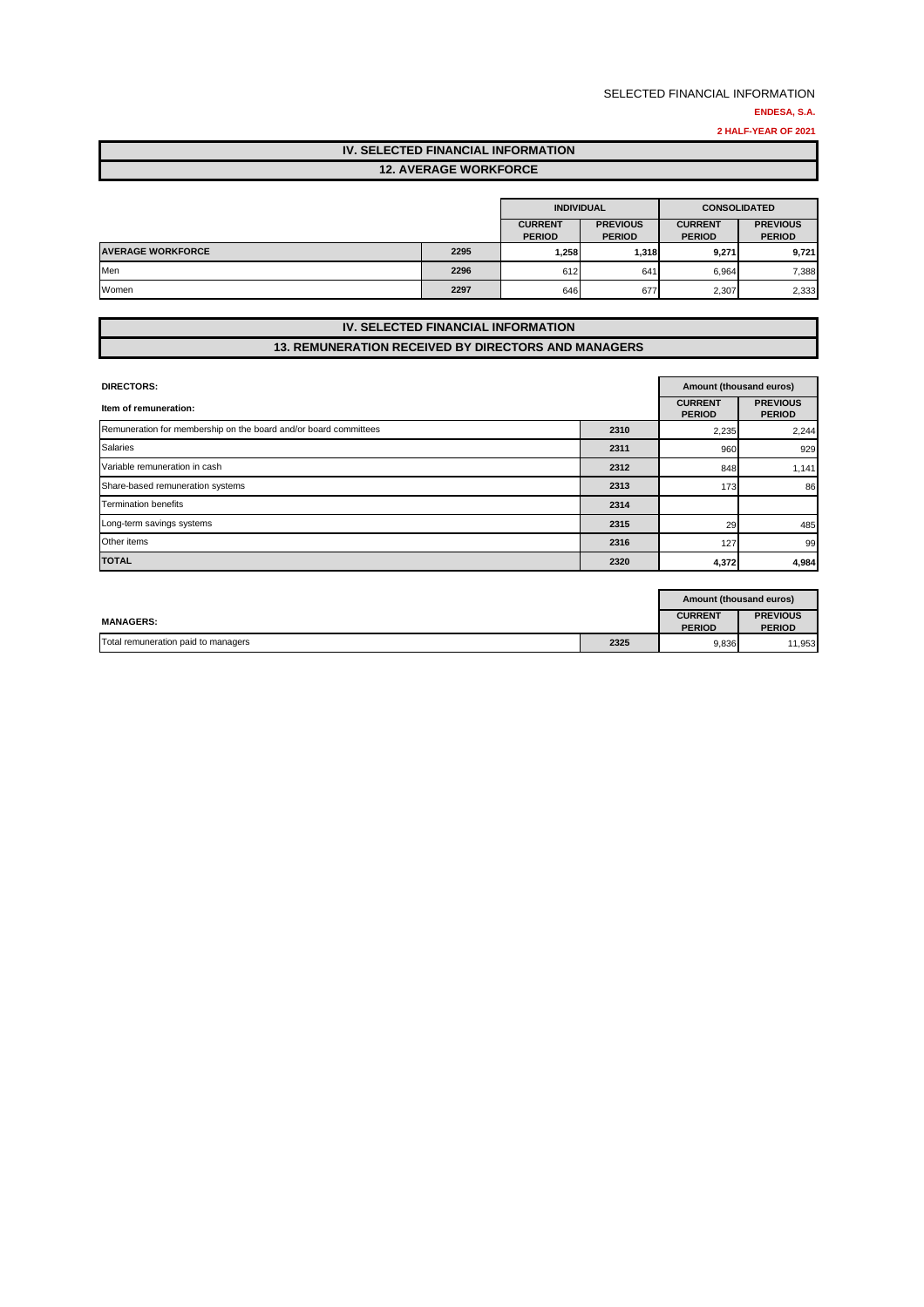**2 HALF-YEAR OF 2021**

# **IV. SELECTED FINANCIAL INFORMATION**

|--|

|                          |      | <b>INDIVIDUAL</b>               |                                  | <b>CONSOLIDATED</b>             |                                  |
|--------------------------|------|---------------------------------|----------------------------------|---------------------------------|----------------------------------|
|                          |      | <b>CURRENT</b><br><b>PERIOD</b> | <b>PREVIOUS</b><br><b>PERIOD</b> | <b>CURRENT</b><br><b>PERIOD</b> | <b>PREVIOUS</b><br><b>PERIOD</b> |
| <b>AVERAGE WORKFORCE</b> | 2295 | 1,258                           | 1,318                            | 9,271                           | 9,721                            |
| Men                      | 2296 | 612                             | 641                              | 6.964                           | 7,388                            |
| Women                    | 2297 | 646                             | 677                              | 2,307                           | 2,333                            |

#### **IV. SELECTED FINANCIAL INFORMATION 13. REMUNERATION RECEIVED BY DIRECTORS AND MANAGERS**

| <b>DIRECTORS:</b>                                                |      |                                 | Amount (thousand euros)          |  |
|------------------------------------------------------------------|------|---------------------------------|----------------------------------|--|
| Item of remuneration:                                            |      | <b>CURRENT</b><br><b>PERIOD</b> | <b>PREVIOUS</b><br><b>PERIOD</b> |  |
| Remuneration for membership on the board and/or board committees | 2310 | 2,235                           | 2,244                            |  |
| <b>Salaries</b>                                                  | 2311 | 960                             | 929                              |  |
| Variable remuneration in cash                                    | 2312 | 848                             | 1,141                            |  |
| Share-based remuneration systems                                 | 2313 | 173                             | 86                               |  |
| <b>Termination benefits</b>                                      | 2314 |                                 |                                  |  |
| Long-term savings systems                                        | 2315 | 29                              | 485                              |  |
| Other items                                                      | 2316 | 127                             | 99                               |  |
| <b>TOTAL</b>                                                     | 2320 | 4,372                           | 4,984                            |  |

|                                     | Amount (thousand euros) |                                 |                                  |
|-------------------------------------|-------------------------|---------------------------------|----------------------------------|
| <b>MANAGERS:</b>                    |                         | <b>CURRENT</b><br><b>PERIOD</b> | <b>PREVIOUS</b><br><b>PERIOD</b> |
| Total remuneration paid to managers | 2325                    | 9,836                           | 11.953                           |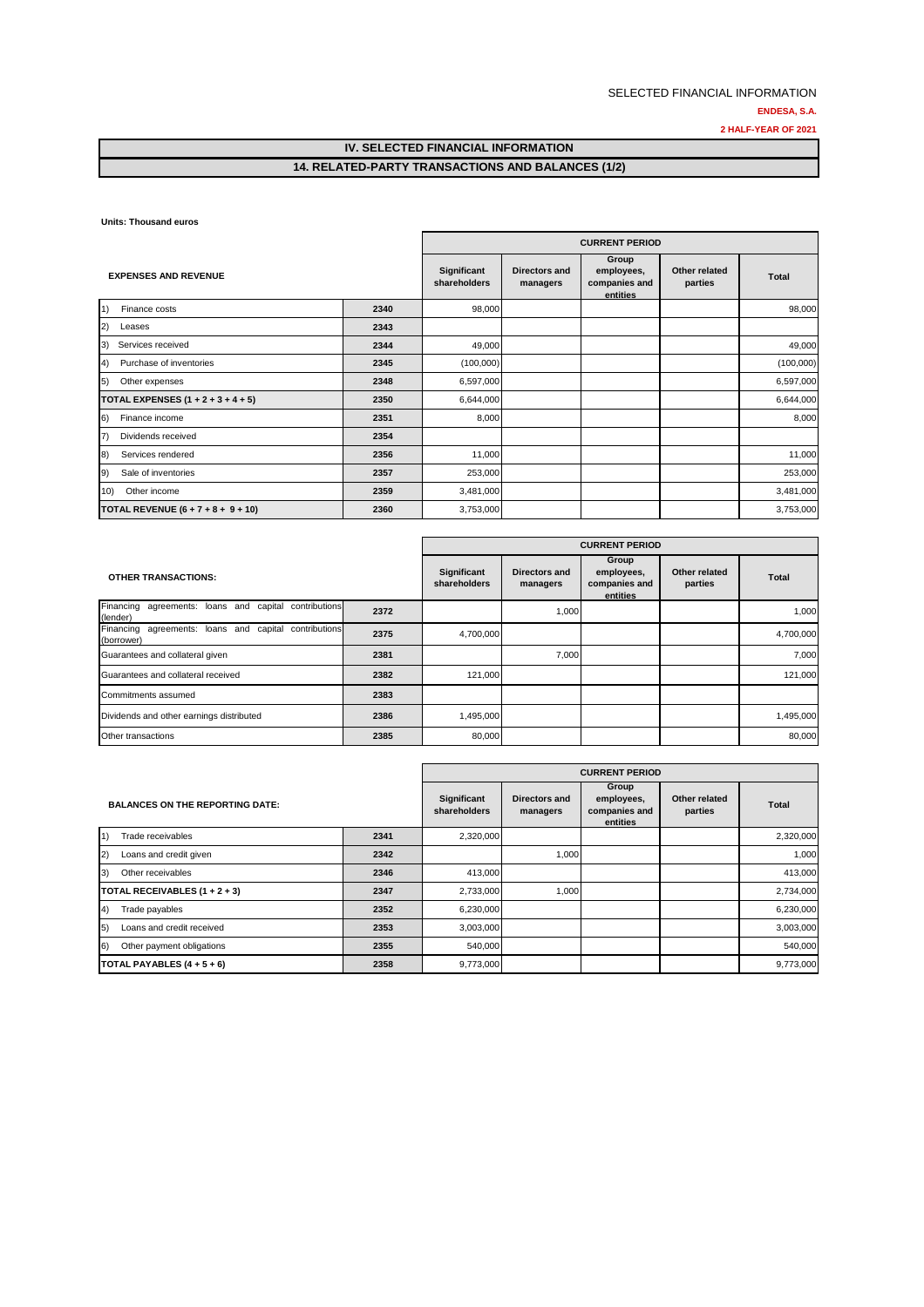### **IV. SELECTED FINANCIAL INFORMATION 14. RELATED-PARTY TRANSACTIONS AND BALANCES (1/2)**

**Units: Thousand euros**

|                                              |      | <b>CURRENT PERIOD</b>       |                           |                                                  |                          |              |
|----------------------------------------------|------|-----------------------------|---------------------------|--------------------------------------------------|--------------------------|--------------|
| <b>EXPENSES AND REVENUE</b>                  |      | Significant<br>shareholders | Directors and<br>managers | Group<br>employees,<br>companies and<br>entities | Other related<br>parties | <b>Total</b> |
| $\left( 1\right)$<br>Finance costs           | 2340 | 98,000                      |                           |                                                  |                          | 98,000       |
| (2)<br>Leases                                | 2343 |                             |                           |                                                  |                          |              |
| Services received<br>3)                      | 2344 | 49,000                      |                           |                                                  |                          | 49,000       |
| Purchase of inventories<br>$\left( 4\right)$ | 2345 | (100,000)                   |                           |                                                  |                          | (100,000)    |
| 5)<br>Other expenses                         | 2348 | 6,597,000                   |                           |                                                  |                          | 6,597,000    |
| TOTAL EXPENSES $(1 + 2 + 3 + 4 + 5)$         | 2350 | 6,644,000                   |                           |                                                  |                          | 6,644,000    |
| 6)<br>Finance income                         | 2351 | 8,000                       |                           |                                                  |                          | 8,000        |
| $\vert 7)$<br>Dividends received             | 2354 |                             |                           |                                                  |                          |              |
| 8)<br>Services rendered                      | 2356 | 11,000                      |                           |                                                  |                          | 11,000       |
| $\vert 9)$<br>Sale of inventories            | 2357 | 253,000                     |                           |                                                  |                          | 253,000      |
| Other income<br>10)                          | 2359 | 3,481,000                   |                           |                                                  |                          | 3,481,000    |
| TOTAL REVENUE $(6 + 7 + 8 + 9 + 10)$         | 2360 | 3,753,000                   |                           |                                                  |                          | 3,753,000    |

|                                                                     |      | <b>CURRENT PERIOD</b>       |                                  |                                                  |                          |              |  |  |
|---------------------------------------------------------------------|------|-----------------------------|----------------------------------|--------------------------------------------------|--------------------------|--------------|--|--|
| <b>OTHER TRANSACTIONS:</b>                                          |      | Significant<br>shareholders | <b>Directors and</b><br>managers | Group<br>employees,<br>companies and<br>entities | Other related<br>parties | <b>Total</b> |  |  |
| Financing agreements: loans and capital contributions<br>(lender)   | 2372 |                             | 1,000                            |                                                  |                          | 1,000        |  |  |
| Financing agreements: loans and capital contributions<br>(borrower) | 2375 | 4,700,000                   |                                  |                                                  |                          | 4,700,000    |  |  |
| Guarantees and collateral given                                     | 2381 |                             | 7,000                            |                                                  |                          | 7.000        |  |  |
| Guarantees and collateral received                                  | 2382 | 121,000                     |                                  |                                                  |                          | 121,000      |  |  |
| Commitments assumed                                                 | 2383 |                             |                                  |                                                  |                          |              |  |  |
| Dividends and other earnings distributed                            | 2386 | 1,495,000                   |                                  |                                                  |                          | 1,495,000    |  |  |
| Other transactions                                                  | 2385 | 80,000                      |                                  |                                                  |                          | 80,000       |  |  |

|                                                |      | <b>CURRENT PERIOD</b>              |                           |                                                  |                          |              |  |
|------------------------------------------------|------|------------------------------------|---------------------------|--------------------------------------------------|--------------------------|--------------|--|
| <b>BALANCES ON THE REPORTING DATE:</b>         |      | <b>Significant</b><br>shareholders | Directors and<br>managers | Group<br>employees,<br>companies and<br>entities | Other related<br>parties | <b>Total</b> |  |
| 1)<br>Trade receivables                        | 2341 | 2,320,000                          |                           |                                                  |                          | 2,320,000    |  |
| 2)<br>Loans and credit given                   | 2342 |                                    | 1,000                     |                                                  |                          | 1,000        |  |
| (3)<br>Other receivables                       | 2346 | 413,000                            |                           |                                                  |                          | 413,000      |  |
| TOTAL RECEIVABLES (1 + 2 + 3)                  | 2347 | 2,733,000                          | 1,000                     |                                                  |                          | 2,734,000    |  |
| Trade payables<br>$\vert 4$                    | 2352 | 6,230,000                          |                           |                                                  |                          | 6,230,000    |  |
| Loans and credit received<br>$\vert 5 \rangle$ | 2353 | 3,003,000                          |                           |                                                  |                          | 3,003,000    |  |
| $\vert 6)$<br>Other payment obligations        | 2355 | 540,000                            |                           |                                                  |                          | 540,000      |  |
| TOTAL PAYABLES (4 + 5 + 6)                     | 2358 | 9,773,000                          |                           |                                                  |                          | 9,773,000    |  |